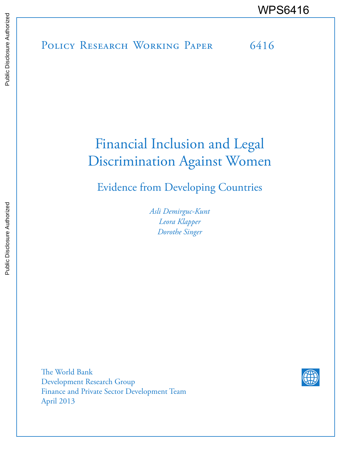# POLICY RESEARCH WORKING PAPER 6416 WPS6416

## Financial Inclusion and Legal Discrimination Against Women

Evidence from Developing Countries

*Asli Demirguc-Kunt Leora Klapper Dorothe Singer*

The World Bank Development Research Group Finance and Private Sector Development Team April 2013

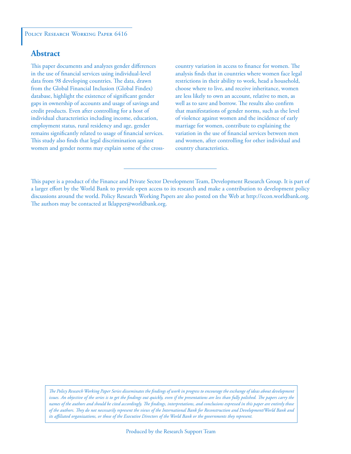#### POLICY RESEARCH WORKING PAPER 6416

#### **Abstract**

This paper documents and analyzes gender differences in the use of financial services using individual-level data from 98 developing countries. The data, drawn from the Global Financial Inclusion (Global Findex) database, highlight the existence of significant gender gaps in ownership of accounts and usage of savings and credit products. Even after controlling for a host of individual characteristics including income, education, employment status, rural residency and age, gender remains significantly related to usage of financial services. This study also finds that legal discrimination against women and gender norms may explain some of the crosscountry variation in access to finance for women. The analysis finds that in countries where women face legal restrictions in their ability to work, head a household, choose where to live, and receive inheritance, women are less likely to own an account, relative to men, as well as to save and borrow. The results also confirm that manifestations of gender norms, such as the level of violence against women and the incidence of early marriage for women, contribute to explaining the variation in the use of financial services between men and women, after controlling for other individual and country characteristics.

*The Policy Research Working Paper Series disseminates the findings of work in progress to encourage the exchange of ideas about development*  issues. An objective of the series is to get the findings out quickly, even if the presentations are less than fully polished. The papers carry the *names of the authors and should be cited accordingly. The findings, interpretations, and conclusions expressed in this paper are entirely those of the authors. They do not necessarily represent the views of the International Bank for Reconstruction and Development/World Bank and its affiliated organizations, or those of the Executive Directors of the World Bank or the governments they represent.*

This paper is a product of the Finance and Private Sector Development Team, Development Research Group. It is part of a larger effort by the World Bank to provide open access to its research and make a contribution to development policy discussions around the world. Policy Research Working Papers are also posted on the Web at http://econ.worldbank.org. The authors may be contacted at lklapper@worldbank.org.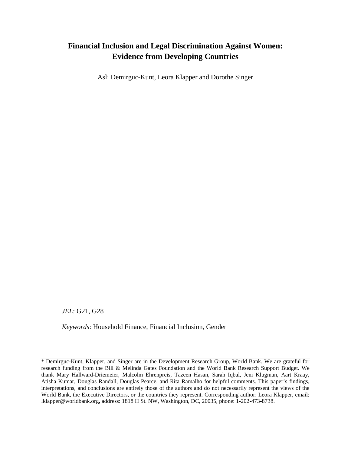#### **Financial Inclusion and Legal Discrimination Against Women: Evidence from Developing Countries**

Asli Demirguc-Kunt, Leora Klapper and Dorothe Singer

*JEL*: G21, G28

*Keywords*: Household Finance, Financial Inclusion, Gender

<sup>\*</sup> Demirguc-Kunt, Klapper, and Singer are in the Development Research Group, World Bank. We are grateful for research funding from the Bill & Melinda Gates Foundation and the World Bank Research Support Budget. We thank Mary Hallward-Driemeier, Malcolm Ehrenpreis, Tazeen Hasan, Sarah Iqbal, Jeni Klugman, Aart Kraay, Atisha Kumar, Douglas Randall, Douglas Pearce, and Rita Ramalho for helpful comments. This paper's findings, interpretations, and conclusions are entirely those of the authors and do not necessarily represent the views of the World Bank, the Executive Directors, or the countries they represent. Corresponding author: Leora Klapper, email: [lklapper@worldbank.org](mailto:lklapper@worldbank.org)**,** address: 1818 H St. NW, Washington, DC, 20035, phone: 1-202-473-8738.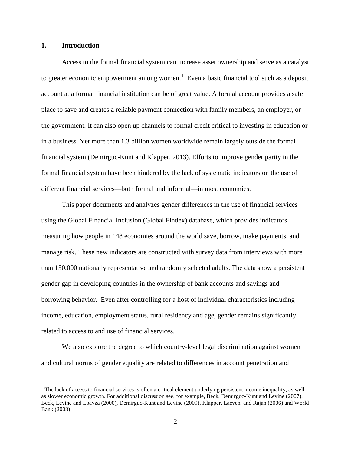#### **1. Introduction**

 $\overline{a}$ 

Access to the formal financial system can increase asset ownership and serve as a catalyst to greater economic empowerment among women.<sup>[1](#page-3-0)</sup> Even a basic financial tool such as a deposit account at a formal financial institution can be of great value. A formal account provides a safe place to save and creates a reliable payment connection with family members, an employer, or the government. It can also open up channels to formal credit critical to investing in education or in a business. Yet more than 1.3 billion women worldwide remain largely outside the formal financial system (Demirguc-Kunt and Klapper, 2013). Efforts to improve gender parity in the formal financial system have been hindered by the lack of systematic indicators on the use of different financial services—both formal and informal—in most economies.

This paper documents and analyzes gender differences in the use of financial services using the Global Financial Inclusion (Global Findex) database, which provides indicators measuring how people in 148 economies around the world save, borrow, make payments, and manage risk. These new indicators are constructed with survey data from interviews with more than 150,000 nationally representative and randomly selected adults. The data show a persistent gender gap in developing countries in the ownership of bank accounts and savings and borrowing behavior. Even after controlling for a host of individual characteristics including income, education, employment status, rural residency and age, gender remains significantly related to access to and use of financial services.

We also explore the degree to which country-level legal discrimination against women and cultural norms of gender equality are related to differences in account penetration and

<span id="page-3-0"></span> $<sup>1</sup>$  The lack of access to financial services is often a critical element underlying persistent income inequality, as well</sup> as slower economic growth. For additional discussion see, for example, Beck, Demirguc-Kunt and Levine (2007), Beck, Levine and Loayza (2000), Demirguc-Kunt and Levine (2009), Klapper, Laeven, and Rajan (2006) and World Bank (2008).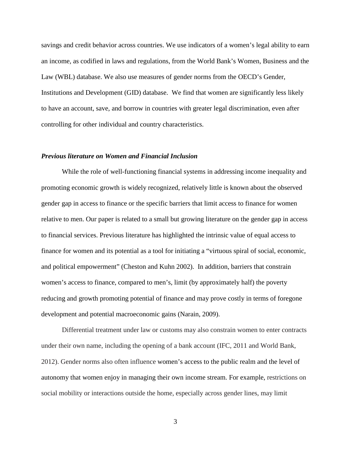savings and credit behavior across countries. We use indicators of a women's legal ability to earn an income, as codified in laws and regulations, from the World Bank's Women, Business and the Law (WBL) database. We also use measures of gender norms from the OECD's Gender, Institutions and Development (GID) database. We find that women are significantly less likely to have an account, save, and borrow in countries with greater legal discrimination, even after controlling for other individual and country characteristics.

#### *Previous literature on Women and Financial Inclusion*

While the role of well-functioning financial systems in addressing income inequality and promoting economic growth is widely recognized, relatively little is known about the observed gender gap in access to finance or the specific barriers that limit access to finance for women relative to men. Our paper is related to a small but growing literature on the gender gap in access to financial services. Previous literature has highlighted the intrinsic value of equal access to finance for women and its potential as a tool for initiating a "virtuous spiral of social, economic, and political empowerment" (Cheston and Kuhn 2002). In addition, barriers that constrain women's access to finance, compared to men's, limit (by approximately half) the poverty reducing and growth promoting potential of finance and may prove costly in terms of foregone development and potential macroeconomic gains (Narain, 2009).

Differential treatment under law or customs may also constrain women to enter contracts under their own name, including the opening of a bank account (IFC, 2011 and World Bank, 2012). Gender norms also often influence women's access to the public realm and the level of autonomy that women enjoy in managing their own income stream. For example, restrictions on social mobility or interactions outside the home, especially across gender lines, may limit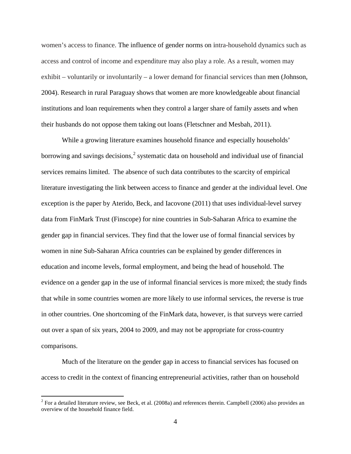women's access to finance. The influence of gender norms on intra-household dynamics such as access and control of income and expenditure may also play a role. As a result, women may exhibit – voluntarily or involuntarily – a lower demand for financial services than men (Johnson, 2004). Research in rural Paraguay shows that women are more knowledgeable about financial institutions and loan requirements when they control a larger share of family assets and when their husbands do not oppose them taking out loans (Fletschner and Mesbah, 2011).

While a growing literature examines household finance and especially households' borrowing and savings decisions,<sup>[2](#page-5-0)</sup> systematic data on household and individual use of financial services remains limited. The absence of such data contributes to the scarcity of empirical literature investigating the link between access to finance and gender at the individual level. One exception is the paper by Aterido, Beck, and Iacovone (2011) that uses individual-level survey data from FinMark Trust (Finscope) for nine countries in Sub-Saharan Africa to examine the gender gap in financial services. They find that the lower use of formal financial services by women in nine Sub-Saharan Africa countries can be explained by gender differences in education and income levels, formal employment, and being the head of household. The evidence on a gender gap in the use of informal financial services is more mixed; the study finds that while in some countries women are more likely to use informal services, the reverse is true in other countries. One shortcoming of the FinMark data, however, is that surveys were carried out over a span of six years, 2004 to 2009, and may not be appropriate for cross-country comparisons.

Much of the literature on the gender gap in access to financial services has focused on access to credit in the context of financing entrepreneurial activities, rather than on household

<span id="page-5-0"></span><sup>&</sup>lt;sup>2</sup> For a detailed literature review, see Beck, et al. (2008a) and references therein. Campbell (2006) also provides an overview of the household finance field.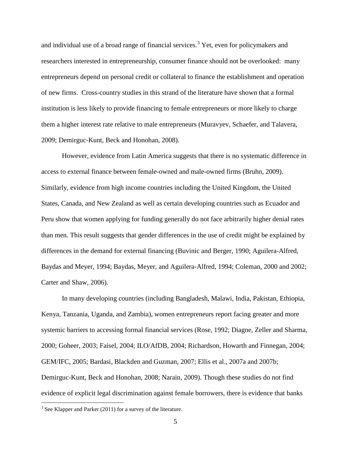and individual use of a broad range of financial services.<sup>[3](#page-6-0)</sup> Yet, even for policymakers and researchers interested in entrepreneurship, consumer finance should not be overlooked: many entrepreneurs depend on personal credit or collateral to finance the establishment and operation of new firms. Cross-country studies in this strand of the literature have shown that a formal institution is less likely to provide financing to female entrepreneurs or more likely to charge them a higher interest rate relative to male entrepreneurs (Muravyev, Schaefer, and Talavera, 2009; Demirguc-Kunt, Beck and Honohan, 2008).

However, evidence from Latin America suggests that there is no systematic difference in access to external finance between female-owned and male-owned firms (Bruhn, 2009). Similarly, evidence from high income countries including the United Kingdom, the United States, Canada, and New Zealand as well as certain developing countries such as Ecuador and Peru show that women applying for funding generally do not face arbitrarily higher denial rates than men. This result suggests that gender differences in the use of credit might be explained by differences in the demand for external financing (Buvinic and Berger, 1990; Aguilera-Alfred, Baydas and Meyer, 1994; Baydas, Meyer, and Aguilera-Alfred, 1994; Coleman, 2000 and 2002; Carter and Shaw, 2006).

In many developing countries (including Bangladesh, Malawi, India, Pakistan, Ethiopia, Kenya, Tanzania, Uganda, and Zambia), women entrepreneurs report facing greater and more systemic barriers to accessing formal financial services (Rose, 1992; Diagne, Zeller and Sharma, 2000; Goheer, 2003; Faisel, 2004; ILO/AfDB, 2004; Richardson, Howarth and Finnegan, 2004; GEM/IFC, 2005; Bardasi, Blackden and Guzman, 2007; Ellis et al., 2007a and 2007b; Demirguc-Kunt, Beck and Honohan, 2008; Narain, 2009). Though these studies do not find evidence of explicit legal discrimination against female borrowers, there is evidence that banks

<span id="page-6-0"></span><sup>&</sup>lt;sup>3</sup> See Klapper and Parker (2011) for a survey of the literature.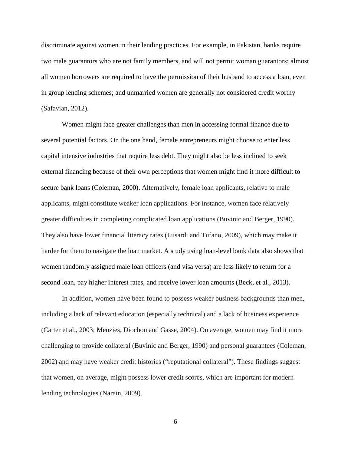discriminate against women in their lending practices. For example, in Pakistan, banks require two male guarantors who are not family members, and will not permit woman guarantors; almost all women borrowers are required to have the permission of their husband to access a loan, even in group lending schemes; and unmarried women are generally not considered credit worthy (Safavian, 2012).

Women might face greater challenges than men in accessing formal finance due to several potential factors. On the one hand, female entrepreneurs might choose to enter less capital intensive industries that require less debt. They might also be less inclined to seek external financing because of their own perceptions that women might find it more difficult to secure bank loans (Coleman, 2000). Alternatively, female loan applicants, relative to male applicants, might constitute weaker loan applications. For instance, women face relatively greater difficulties in completing complicated loan applications (Buvinic and Berger, 1990). They also have lower financial literacy rates (Lusardi and Tufano, 2009), which may make it harder for them to navigate the loan market. A study using loan-level bank data also shows that women randomly assigned male loan officers (and visa versa) are less likely to return for a second loan, pay higher interest rates, and receive lower loan amounts (Beck, et al., 2013).

In addition, women have been found to possess weaker business backgrounds than men, including a lack of relevant education (especially technical) and a lack of business experience (Carter et al., 2003; Menzies, Diochon and Gasse, 2004). On average, women may find it more challenging to provide collateral (Buvinic and Berger, 1990) and personal guarantees (Coleman, 2002) and may have weaker credit histories ("reputational collateral"). These findings suggest that women, on average, might possess lower credit scores, which are important for modern lending technologies (Narain, 2009).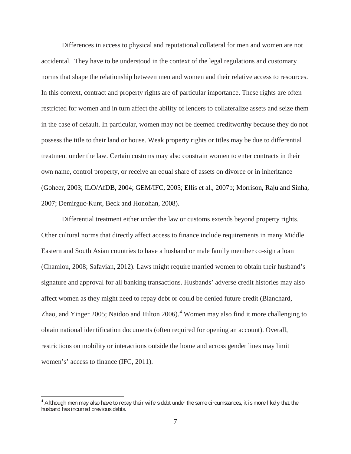Differences in access to physical and reputational collateral for men and women are not accidental. They have to be understood in the context of the legal regulations and customary norms that shape the relationship between men and women and their relative access to resources. In this context, contract and property rights are of particular importance. These rights are often restricted for women and in turn affect the ability of lenders to collateralize assets and seize them in the case of default. In particular, women may not be deemed creditworthy because they do not possess the title to their land or house. Weak property rights or titles may be due to differential treatment under the law. Certain customs may also constrain women to enter contracts in their own name, control property, or receive an equal share of assets on divorce or in inheritance (Goheer, 2003; ILO/AfDB, 2004; GEM/IFC, 2005; Ellis et al., 2007b; Morrison, Raju and Sinha, 2007; Demirguc-Kunt, Beck and Honohan, 2008).

Differential treatment either under the law or customs extends beyond property rights. Other cultural norms that directly affect access to finance include requirements in many Middle Eastern and South Asian countries to have a husband or male family member co-sign a loan (Chamlou, 2008; Safavian, 2012). Laws might require married women to obtain their husband's signature and approval for all banking transactions. Husbands' adverse credit histories may also affect women as they might need to repay debt or could be denied future credit (Blanchard, Zhao, and Yinger 2005; Naidoo and Hilton 2006).<sup>[4](#page-8-0)</sup> Women may also find it more challenging to obtain national identification documents (often required for opening an account). Overall, restrictions on mobility or interactions outside the home and across gender lines may limit women's' access to finance (IFC, 2011).

<span id="page-8-0"></span> $4$  Although men may also have to repay their wife's debt under the same circumstances, it is more likely that the husband has incurred previous debts.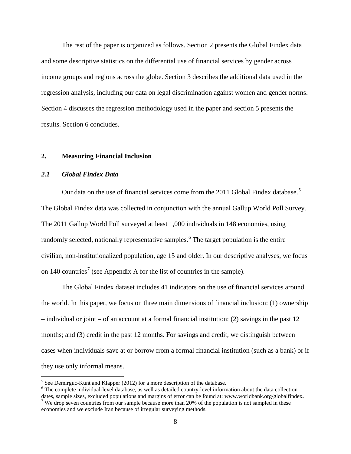The rest of the paper is organized as follows. Section 2 presents the Global Findex data and some descriptive statistics on the differential use of financial services by gender across income groups and regions across the globe. Section 3 describes the additional data used in the regression analysis, including our data on legal discrimination against women and gender norms. Section 4 discusses the regression methodology used in the paper and section 5 presents the results. Section 6 concludes.

#### **2. Measuring Financial Inclusion**

#### *2.1 Global Findex Data*

 $\overline{a}$ 

Our data on the use of financial services come from the 2011 Global Findex database.<sup>[5](#page-9-0)</sup> The Global Findex data was collected in conjunction with the annual Gallup World Poll Survey. The 2011 Gallup World Poll surveyed at least 1,000 individuals in 148 economies, using randomly selected, nationally representative samples.<sup>[6](#page-9-1)</sup> The target population is the entire civilian, non-institutionalized population, age 15 and older. In our descriptive analyses, we focus on 140 countries<sup>[7](#page-9-2)</sup> (see Appendix A for the list of countries in the sample).

The Global Findex dataset includes 41 indicators on the use of financial services around the world. In this paper, we focus on three main dimensions of financial inclusion: (1) ownership – individual or joint – of an account at a formal financial institution; (2) savings in the past 12 months; and (3) credit in the past 12 months. For savings and credit, we distinguish between cases when individuals save at or borrow from a formal financial institution (such as a bank) or if they use only informal means.

<span id="page-9-1"></span><span id="page-9-0"></span><sup>&</sup>lt;sup>5</sup> See Demirguc-Kunt and Klapper (2012) for a more description of the database.<br><sup>6</sup> The complete individual-level database, as well as detailed country-level information about the data collection dates, sample sizes, excluded populations and margins of error can be found at[: www.worldbank.org/globalfindex](http://www.worldbank.org/globalfindex).<sup>7</sup> We drop seven countries from our sample because more than 20% of the population is not sampled in these

<span id="page-9-2"></span>economies and we exclude Iran because of irregular surveying methods.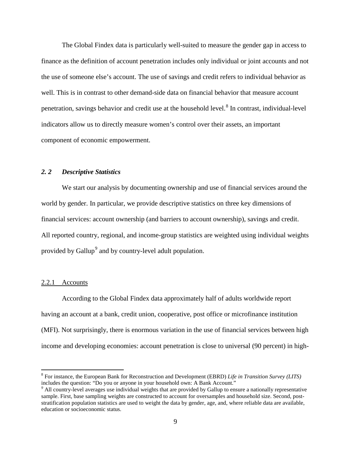The Global Findex data is particularly well-suited to measure the gender gap in access to finance as the definition of account penetration includes only individual or joint accounts and not the use of someone else's account. The use of savings and credit refers to individual behavior as well. This is in contrast to other demand-side data on financial behavior that measure account penetration, savings behavior and credit use at the household level.<sup>[8](#page-10-0)</sup> In contrast, individual-level indicators allow us to directly measure women's control over their assets, an important component of economic empowerment.

#### *2. 2 Descriptive Statistics*

 We start our analysis by documenting ownership and use of financial services around the world by gender. In particular, we provide descriptive statistics on three key dimensions of financial services: account ownership (and barriers to account ownership), savings and credit. All reported country, regional, and income-group statistics are weighted using individual weights provided by Gallup<sup>[9](#page-10-1)</sup> and by country-level adult population.

#### 2.2.1 Accounts

 $\overline{a}$ 

According to the Global Findex data approximately half of adults worldwide report having an account at a bank, credit union, cooperative, post office or microfinance institution (MFI). Not surprisingly, there is enormous variation in the use of financial services between high income and developing economies: account penetration is close to universal (90 percent) in high-

<span id="page-10-0"></span><sup>8</sup> For instance, the European Bank for Reconstruction and Development (EBRD) *Life in Transition Survey (LITS)* includes the question: "Do you or anyone in your household own: A Bank Account." *<sup>9</sup>* All country-level averages use individual weights that are provided by Gallup to ensure a nationally representative

<span id="page-10-1"></span>sample. First, base sampling weights are constructed to account for oversamples and household size. Second, poststratification population statistics are used to weight the data by gender, age, and, where reliable data are available, education or socioeconomic status.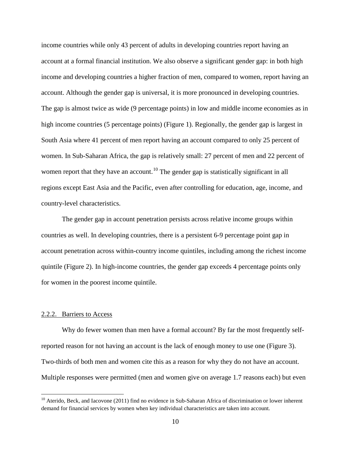income countries while only 43 percent of adults in developing countries report having an account at a formal financial institution. We also observe a significant gender gap: in both high income and developing countries a higher fraction of men, compared to women, report having an account. Although the gender gap is universal, it is more pronounced in developing countries. The gap is almost twice as wide (9 percentage points) in low and middle income economies as in high income countries (5 percentage points) (Figure 1). Regionally, the gender gap is largest in South Asia where 41 percent of men report having an account compared to only 25 percent of women. In Sub-Saharan Africa, the gap is relatively small: 27 percent of men and 22 percent of women report that they have an account.<sup>10</sup> The gender gap is statistically significant in all regions except East Asia and the Pacific, even after controlling for education, age, income, and country-level characteristics.

The gender gap in account penetration persists across relative income groups within countries as well. In developing countries, there is a persistent 6-9 percentage point gap in account penetration across within-country income quintiles, including among the richest income quintile (Figure 2). In high-income countries, the gender gap exceeds 4 percentage points only for women in the poorest income quintile.

#### 2.2.2. Barriers to Access

 $\overline{a}$ 

Why do fewer women than men have a formal account? By far the most frequently selfreported reason for not having an account is the lack of enough money to use one (Figure 3). Two-thirds of both men and women cite this as a reason for why they do not have an account. Multiple responses were permitted (men and women give on average 1.7 reasons each) but even

<span id="page-11-0"></span> $10$  Aterido, Beck, and Iacovone (2011) find no evidence in Sub-Saharan Africa of discrimination or lower inherent demand for financial services by women when key individual characteristics are taken into account.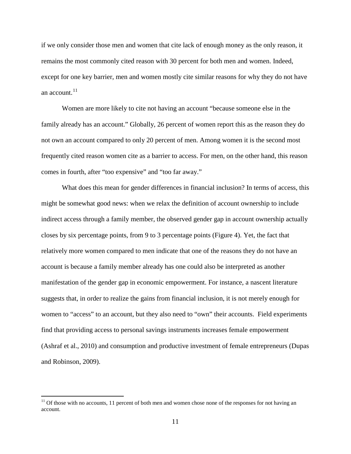if we only consider those men and women that cite lack of enough money as the only reason, it remains the most commonly cited reason with 30 percent for both men and women. Indeed, except for one key barrier, men and women mostly cite similar reasons for why they do not have an account.<sup>[11](#page-12-0)</sup>

Women are more likely to cite not having an account "because someone else in the family already has an account." Globally, 26 percent of women report this as the reason they do not own an account compared to only 20 percent of men. Among women it is the second most frequently cited reason women cite as a barrier to access. For men, on the other hand, this reason comes in fourth, after "too expensive" and "too far away."

What does this mean for gender differences in financial inclusion? In terms of access, this might be somewhat good news: when we relax the definition of account ownership to include indirect access through a family member, the observed gender gap in account ownership actually closes by six percentage points, from 9 to 3 percentage points (Figure 4). Yet, the fact that relatively more women compared to men indicate that one of the reasons they do not have an account is because a family member already has one could also be interpreted as another manifestation of the gender gap in economic empowerment. For instance, a nascent literature suggests that, in order to realize the gains from financial inclusion, it is not merely enough for women to "access" to an account, but they also need to "own" their accounts. Field experiments find that providing access to personal savings instruments increases female empowerment (Ashraf et al., 2010) and consumption and productive investment of female entrepreneurs (Dupas and Robinson, 2009).

<span id="page-12-0"></span> $11$  Of those with no accounts, 11 percent of both men and women chose none of the responses for not having an account.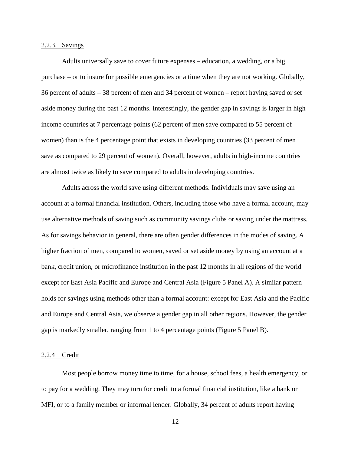#### 2.2.3. Savings

Adults universally save to cover future expenses – education, a wedding, or a big purchase – or to insure for possible emergencies or a time when they are not working. Globally, 36 percent of adults – 38 percent of men and 34 percent of women – report having saved or set aside money during the past 12 months. Interestingly, the gender gap in savings is larger in high income countries at 7 percentage points (62 percent of men save compared to 55 percent of women) than is the 4 percentage point that exists in developing countries (33 percent of men save as compared to 29 percent of women). Overall, however, adults in high-income countries are almost twice as likely to save compared to adults in developing countries.

Adults across the world save using different methods. Individuals may save using an account at a formal financial institution. Others, including those who have a formal account, may use alternative methods of saving such as community savings clubs or saving under the mattress. As for savings behavior in general, there are often gender differences in the modes of saving. A higher fraction of men, compared to women, saved or set aside money by using an account at a bank, credit union, or microfinance institution in the past 12 months in all regions of the world except for East Asia Pacific and Europe and Central Asia (Figure 5 Panel A). A similar pattern holds for savings using methods other than a formal account: except for East Asia and the Pacific and Europe and Central Asia, we observe a gender gap in all other regions. However, the gender gap is markedly smaller, ranging from 1 to 4 percentage points (Figure 5 Panel B).

#### 2.2.4 Credit

Most people borrow money time to time, for a house, school fees, a health emergency, or to pay for a wedding. They may turn for credit to a formal financial institution, like a bank or MFI, or to a family member or informal lender. Globally, 34 percent of adults report having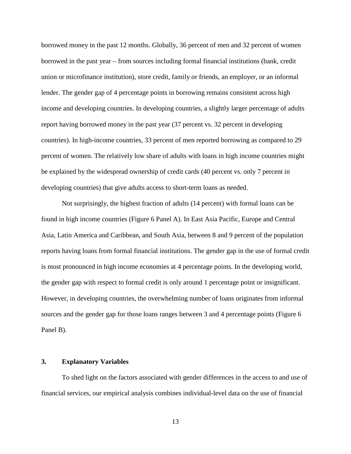borrowed money in the past 12 months. Globally, 36 percent of men and 32 percent of women borrowed in the past year – from sources including formal financial institutions (bank, credit union or microfinance institution), store credit, family or friends, an employer, or an informal lender. The gender gap of 4 percentage points in borrowing remains consistent across high income and developing countries. In developing countries, a slightly larger percentage of adults report having borrowed money in the past year (37 percent vs. 32 percent in developing countries). In high-income countries, 33 percent of men reported borrowing as compared to 29 percent of women. The relatively low share of adults with loans in high income countries might be explained by the widespread ownership of credit cards (40 percent vs. only 7 percent in developing countries) that give adults access to short-term loans as needed.

Not surprisingly, the highest fraction of adults (14 percent) with formal loans can be found in high income countries (Figure 6 Panel A). In East Asia Pacific, Europe and Central Asia, Latin America and Caribbean, and South Asia, between 8 and 9 percent of the population reports having loans from formal financial institutions. The gender gap in the use of formal credit is most pronounced in high income economies at 4 percentage points. In the developing world, the gender gap with respect to formal credit is only around 1 percentage point or insignificant. However, in developing countries, the overwhelming number of loans originates from informal sources and the gender gap for those loans ranges between 3 and 4 percentage points (Figure 6 Panel B).

#### **3. Explanatory Variables**

To shed light on the factors associated with gender differences in the access to and use of financial services, our empirical analysis combines individual-level data on the use of financial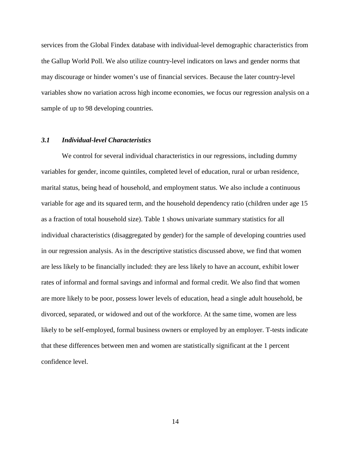services from the Global Findex database with individual-level demographic characteristics from the Gallup World Poll. We also utilize country-level indicators on laws and gender norms that may discourage or hinder women's use of financial services. Because the later country-level variables show no variation across high income economies, we focus our regression analysis on a sample of up to 98 developing countries.

#### *3.1 Individual-level Characteristics*

We control for several individual characteristics in our regressions, including dummy variables for gender, income quintiles, completed level of education, rural or urban residence, marital status, being head of household, and employment status. We also include a continuous variable for age and its squared term, and the household dependency ratio (children under age 15 as a fraction of total household size). Table 1 shows univariate summary statistics for all individual characteristics (disaggregated by gender) for the sample of developing countries used in our regression analysis. As in the descriptive statistics discussed above, we find that women are less likely to be financially included: they are less likely to have an account, exhibit lower rates of informal and formal savings and informal and formal credit. We also find that women are more likely to be poor, possess lower levels of education, head a single adult household, be divorced, separated, or widowed and out of the workforce. At the same time, women are less likely to be self-employed, formal business owners or employed by an employer. T-tests indicate that these differences between men and women are statistically significant at the 1 percent confidence level.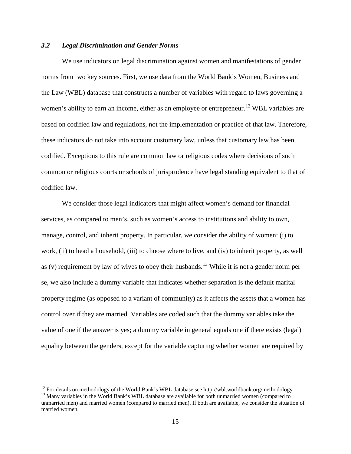#### *3.2 Legal Discrimination and Gender Norms*

We use indicators on legal discrimination against women and manifestations of gender norms from two key sources. First, we use data from the World Bank's Women, Business and the Law (WBL) database that constructs a number of variables with regard to laws governing a women's ability to earn an income, either as an employee or entrepreneur.<sup>[12](#page-16-0)</sup> WBL variables are based on codified law and regulations, not the implementation or practice of that law. Therefore, these indicators do not take into account customary law, unless that customary law has been codified. Exceptions to this rule are common law or religious codes where decisions of such common or religious courts or schools of jurisprudence have legal standing equivalent to that of codified law.

We consider those legal indicators that might affect women's demand for financial services, as compared to men's, such as women's access to institutions and ability to own, manage, control, and inherit property. In particular, we consider the ability of women: (i) to work, (ii) to head a household, (iii) to choose where to live, and (iv) to inherit property, as well as (v) requirement by law of wives to obey their husbands.<sup>[13](#page-16-1)</sup> While it is not a gender norm per se, we also include a dummy variable that indicates whether separation is the default marital property regime (as opposed to a variant of community) as it affects the assets that a women has control over if they are married. Variables are coded such that the dummy variables take the value of one if the answer is yes; a dummy variable in general equals one if there exists (legal) equality between the genders, except for the variable capturing whether women are required by

<span id="page-16-0"></span><sup>&</sup>lt;sup>12</sup> For details on methodology of the World Bank's WBL database see http://wbl.worldbank.org/methodology <sup>13</sup> Many variables in the World Bank's WBL database are available for both unmarried women (compared to

<span id="page-16-1"></span>unmarried men) and married women (compared to married men). If both are available, we consider the situation of married women.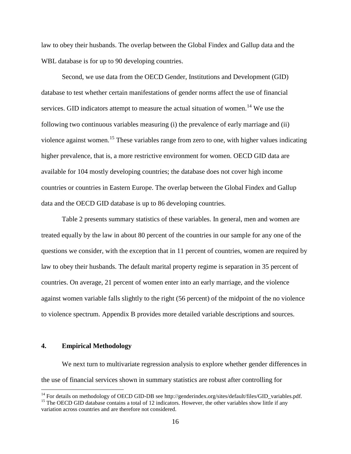law to obey their husbands. The overlap between the Global Findex and Gallup data and the WBL database is for up to 90 developing countries.

Second, we use data from the OECD Gender, Institutions and Development (GID) database to test whether certain manifestations of gender norms affect the use of financial services. GID indicators attempt to measure the actual situation of women.<sup>[14](#page-17-0)</sup> We use the following two continuous variables measuring (i) the prevalence of early marriage and (ii) violence against women.<sup>15</sup> These variables range from zero to one, with higher values indicating higher prevalence, that is, a more restrictive environment for women. OECD GID data are available for 104 mostly developing countries; the database does not cover high income countries or countries in Eastern Europe. The overlap between the Global Findex and Gallup data and the OECD GID database is up to 86 developing countries.

Table 2 presents summary statistics of these variables. In general, men and women are treated equally by the law in about 80 percent of the countries in our sample for any one of the questions we consider, with the exception that in 11 percent of countries, women are required by law to obey their husbands. The default marital property regime is separation in 35 percent of countries. On average, 21 percent of women enter into an early marriage, and the violence against women variable falls slightly to the right (56 percent) of the midpoint of the no violence to violence spectrum. Appendix B provides more detailed variable descriptions and sources.

#### **4. Empirical Methodology**

We next turn to multivariate regression analysis to explore whether gender differences in the use of financial services shown in summary statistics are robust after controlling for

<sup>&</sup>lt;sup>14</sup> For details on methodology of OECD GID-DB see http://genderindex.org/sites/default/files/GID\_variables.pdf.

<span id="page-17-1"></span><span id="page-17-0"></span><sup>&</sup>lt;sup>15</sup> The OECD GID database contains a total of 12 indicators. However, the other variables show little if any variation across countries and are therefore not considered.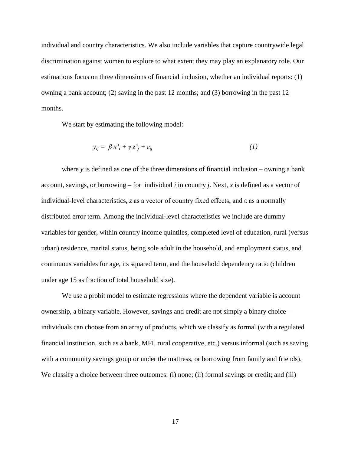individual and country characteristics. We also include variables that capture countrywide legal discrimination against women to explore to what extent they may play an explanatory role. Our estimations focus on three dimensions of financial inclusion, whether an individual reports: (1) owning a bank account; (2) saving in the past 12 months; and (3) borrowing in the past 12 months.

We start by estimating the following model:

$$
y_{ij} = \beta x_i' + \gamma z_j' + \varepsilon_{ij} \tag{1}
$$

where *y* is defined as one of the three dimensions of financial inclusion – owning a bank account, savings, or borrowing – for individual *i* in country *j*. Next, *x* is defined as a vector of individual-level characteristics, *z* as a vector of country fixed effects, and ε as a normally distributed error term. Among the individual-level characteristics we include are dummy variables for gender, within country income quintiles, completed level of education, rural (versus urban) residence, marital status, being sole adult in the household, and employment status, and continuous variables for age, its squared term, and the household dependency ratio (children under age 15 as fraction of total household size).

We use a probit model to estimate regressions where the dependent variable is account ownership, a binary variable. However, savings and credit are not simply a binary choice individuals can choose from an array of products, which we classify as formal (with a regulated financial institution, such as a bank, MFI, rural cooperative, etc.) versus informal (such as saving with a community savings group or under the mattress, or borrowing from family and friends). We classify a choice between three outcomes: (i) none; (ii) formal savings or credit; and (iii)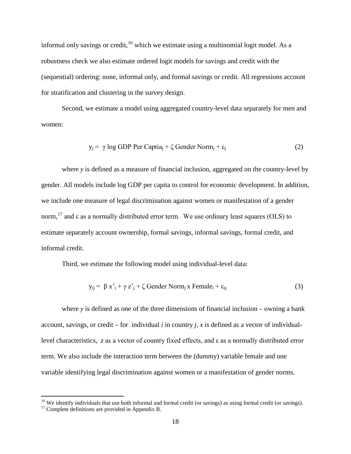informal only savings or credit, <sup>[16](#page-19-0)</sup> which we estimate using a multinomial logit model. As a robustness check we also estimate ordered logit models for savings and credit with the (sequential) ordering: none, informal only, and formal savings or credit. All regressions account for stratification and clustering in the survey design.

Second, we estimate a model using aggregated country-level data separately for men and women:

$$
y_j = \gamma \log GDP \text{ Per } Captia_j + \zeta \text{ Gender } Norm_j + \varepsilon_j \tag{2}
$$

where *y* is defined as a measure of financial inclusion, aggregated on the country-level by gender. All models include log GDP per capita to control for economic development. In addition, we include one measure of legal discrimination against women or manifestation of a gender norm, <sup>[17](#page-19-1)</sup> and  $\varepsilon$  as a normally distributed error term. We use ordinary least squares (OLS) to estimate separately account ownership, formal savings, informal savings, formal credit, and informal credit.

Third, we estimate the following model using individual-level data:

$$
y_{ij} = \beta x_i' + \gamma z_j' + \zeta
$$
Gender Norm<sub>j</sub> x Female<sub>i</sub> + \varepsilon<sub>ij</sub> (3)

where *y* is defined as one of the three dimensions of financial inclusion – owning a bank account, savings, or credit – for individual  $i$  in country  $j$ ,  $x$  is defined as a vector of individuallevel characteristics, *z* as a vector of country fixed effects, and ε as a normally distributed error term. We also include the interaction term between the (dummy) variable female and one variable identifying legal discrimination against women or a manifestation of gender norms.

<span id="page-19-0"></span><sup>&</sup>lt;sup>16</sup> We identify individuals that use both informal and formal credit (or savings) as using formal credit (or savings). <sup>17</sup> Complete definitions are provided in Appendix B.

<span id="page-19-1"></span>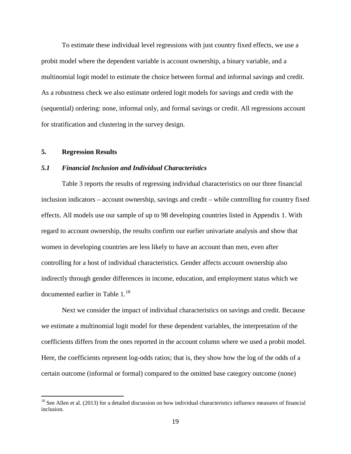To estimate these individual level regressions with just country fixed effects, we use a probit model where the dependent variable is account ownership, a binary variable, and a multinomial logit model to estimate the choice between formal and informal savings and credit. As a robustness check we also estimate ordered logit models for savings and credit with the (sequential) ordering: none, informal only, and formal savings or credit. All regressions account for stratification and clustering in the survey design.

#### **5. Regression Results**

 $\overline{a}$ 

#### *5.1 Financial Inclusion and Individual Characteristics*

Table 3 reports the results of regressing individual characteristics on our three financial inclusion indicators – account ownership, savings and credit – while controlling for country fixed effects. All models use our sample of up to 98 developing countries listed in Appendix 1. With regard to account ownership, the results confirm our earlier univariate analysis and show that women in developing countries are less likely to have an account than men, even after controlling for a host of individual characteristics. Gender affects account ownership also indirectly through gender differences in income, education, and employment status which we documented earlier in Table 1.<sup>[18](#page-20-0)</sup>

Next we consider the impact of individual characteristics on savings and credit. Because we estimate a multinomial logit model for these dependent variables, the interpretation of the coefficients differs from the ones reported in the account column where we used a probit model. Here, the coefficients represent log-odds ratios; that is, they show how the log of the odds of a certain outcome (informal or formal) compared to the omitted base category outcome (none)

<span id="page-20-0"></span> $18$  See Allen et al. (2013) for a detailed discussion on how individual characteristics influence measures of financial inclusion.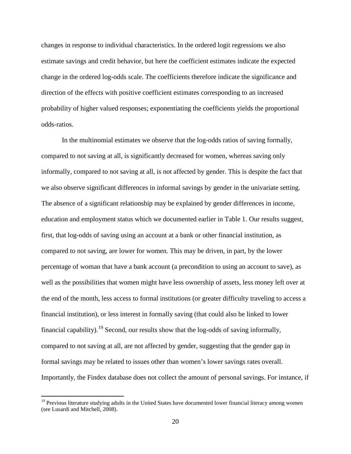changes in response to individual characteristics. In the ordered logit regressions we also estimate savings and credit behavior, but here the coefficient estimates indicate the expected change in the ordered log-odds scale. The coefficients therefore indicate the significance and direction of the effects with positive coefficient estimates corresponding to an increased probability of higher valued responses; exponentiating the coefficients yields the proportional odds-ratios.

In the multinomial estimates we observe that the log-odds ratios of saving formally, compared to not saving at all, is significantly decreased for women, whereas saving only informally, compared to not saving at all, is not affected by gender. This is despite the fact that we also observe significant differences in informal savings by gender in the univariate setting. The absence of a significant relationship may be explained by gender differences in income, education and employment status which we documented earlier in Table 1. Our results suggest, first, that log-odds of saving using an account at a bank or other financial institution, as compared to not saving, are lower for women. This may be driven, in part, by the lower percentage of woman that have a bank account (a precondition to using an account to save), as well as the possibilities that women might have less ownership of assets, less money left over at the end of the month, less access to formal institutions (or greater difficulty traveling to access a financial institution), or less interest in formally saving (that could also be linked to lower financial capability).<sup>[19](#page-21-0)</sup> Second, our results show that the log-odds of saving informally, compared to not saving at all, are not affected by gender, suggesting that the gender gap in formal savings may be related to issues other than women's lower savings rates overall. Importantly, the Findex database does not collect the amount of personal savings. For instance, if

<span id="page-21-0"></span><sup>&</sup>lt;sup>19</sup> Previous literature studying adults in the United States have documented lower financial literacy among women (see Lusardi and Mitchell, 2008).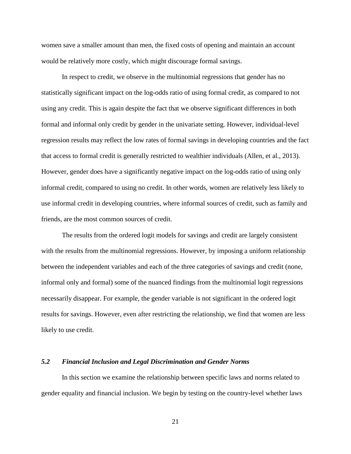women save a smaller amount than men, the fixed costs of opening and maintain an account would be relatively more costly, which might discourage formal savings.

In respect to credit, we observe in the multinomial regressions that gender has no statistically significant impact on the log-odds ratio of using formal credit, as compared to not using any credit. This is again despite the fact that we observe significant differences in both formal and informal only credit by gender in the univariate setting. However, individual-level regression results may reflect the low rates of formal savings in developing countries and the fact that access to formal credit is generally restricted to wealthier individuals (Allen, et al., 2013). However, gender does have a significantly negative impact on the log-odds ratio of using only informal credit, compared to using no credit. In other words, women are relatively less likely to use informal credit in developing countries, where informal sources of credit, such as family and friends, are the most common sources of credit.

The results from the ordered logit models for savings and credit are largely consistent with the results from the multinomial regressions. However, by imposing a uniform relationship between the independent variables and each of the three categories of savings and credit (none, informal only and formal) some of the nuanced findings from the multinomial logit regressions necessarily disappear. For example, the gender variable is not significant in the ordered logit results for savings. However, even after restricting the relationship, we find that women are less likely to use credit.

#### *5.2 Financial Inclusion and Legal Discrimination and Gender Norms*

 In this section we examine the relationship between specific laws and norms related to gender equality and financial inclusion. We begin by testing on the country-level whether laws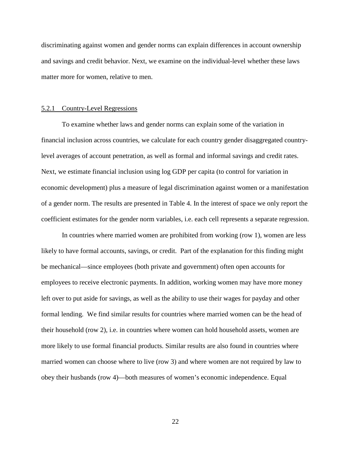discriminating against women and gender norms can explain differences in account ownership and savings and credit behavior. Next, we examine on the individual-level whether these laws matter more for women, relative to men.

#### 5.2.1 Country-Level Regressions

To examine whether laws and gender norms can explain some of the variation in financial inclusion across countries, we calculate for each country gender disaggregated countrylevel averages of account penetration, as well as formal and informal savings and credit rates. Next, we estimate financial inclusion using log GDP per capita (to control for variation in economic development) plus a measure of legal discrimination against women or a manifestation of a gender norm. The results are presented in Table 4. In the interest of space we only report the coefficient estimates for the gender norm variables, i.e. each cell represents a separate regression.

In countries where married women are prohibited from working (row 1), women are less likely to have formal accounts, savings, or credit. Part of the explanation for this finding might be mechanical—since employees (both private and government) often open accounts for employees to receive electronic payments. In addition, working women may have more money left over to put aside for savings, as well as the ability to use their wages for payday and other formal lending. We find similar results for countries where married women can be the head of their household (row 2), i.e. in countries where women can hold household assets, women are more likely to use formal financial products. Similar results are also found in countries where married women can choose where to live (row 3) and where women are not required by law to obey their husbands (row 4)—both measures of women's economic independence. Equal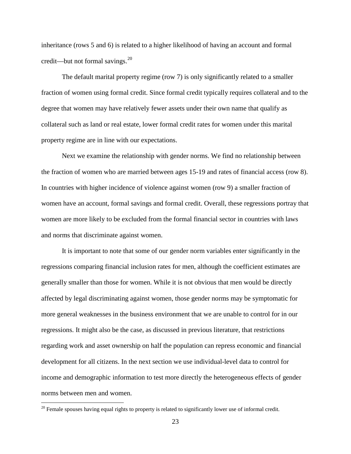inheritance (rows 5 and 6) is related to a higher likelihood of having an account and formal credit—but not formal savings.<sup>20</sup>

The default marital property regime (row 7) is only significantly related to a smaller fraction of women using formal credit. Since formal credit typically requires collateral and to the degree that women may have relatively fewer assets under their own name that qualify as collateral such as land or real estate, lower formal credit rates for women under this marital property regime are in line with our expectations.

Next we examine the relationship with gender norms. We find no relationship between the fraction of women who are married between ages 15-19 and rates of financial access (row 8). In countries with higher incidence of violence against women (row 9) a smaller fraction of women have an account, formal savings and formal credit. Overall, these regressions portray that women are more likely to be excluded from the formal financial sector in countries with laws and norms that discriminate against women.

It is important to note that some of our gender norm variables enter significantly in the regressions comparing financial inclusion rates for men, although the coefficient estimates are generally smaller than those for women. While it is not obvious that men would be directly affected by legal discriminating against women, those gender norms may be symptomatic for more general weaknesses in the business environment that we are unable to control for in our regressions. It might also be the case, as discussed in previous literature, that restrictions regarding work and asset ownership on half the population can repress economic and financial development for all citizens. In the next section we use individual-level data to control for income and demographic information to test more directly the heterogeneous effects of gender norms between men and women.

<span id="page-24-0"></span> $20$  Female spouses having equal rights to property is related to significantly lower use of informal credit.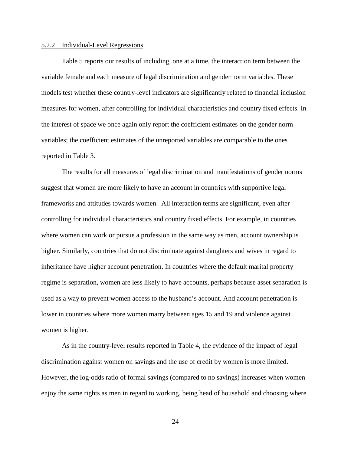#### 5.2.2 Individual-Level Regressions

Table 5 reports our results of including, one at a time, the interaction term between the variable female and each measure of legal discrimination and gender norm variables. These models test whether these country-level indicators are significantly related to financial inclusion measures for women, after controlling for individual characteristics and country fixed effects. In the interest of space we once again only report the coefficient estimates on the gender norm variables; the coefficient estimates of the unreported variables are comparable to the ones reported in Table 3.

The results for all measures of legal discrimination and manifestations of gender norms suggest that women are more likely to have an account in countries with supportive legal frameworks and attitudes towards women. All interaction terms are significant, even after controlling for individual characteristics and country fixed effects. For example, in countries where women can work or pursue a profession in the same way as men, account ownership is higher. Similarly, countries that do not discriminate against daughters and wives in regard to inheritance have higher account penetration. In countries where the default marital property regime is separation, women are less likely to have accounts, perhaps because asset separation is used as a way to prevent women access to the husband's account. And account penetration is lower in countries where more women marry between ages 15 and 19 and violence against women is higher.

As in the country-level results reported in Table 4, the evidence of the impact of legal discrimination against women on savings and the use of credit by women is more limited. However, the log-odds ratio of formal savings (compared to no savings) increases when women enjoy the same rights as men in regard to working, being head of household and choosing where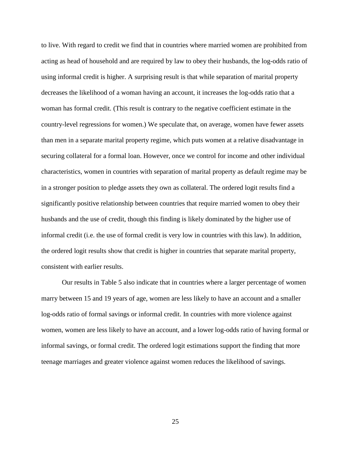to live. With regard to credit we find that in countries where married women are prohibited from acting as head of household and are required by law to obey their husbands, the log-odds ratio of using informal credit is higher. A surprising result is that while separation of marital property decreases the likelihood of a woman having an account, it increases the log-odds ratio that a woman has formal credit. (This result is contrary to the negative coefficient estimate in the country-level regressions for women.) We speculate that, on average, women have fewer assets than men in a separate marital property regime, which puts women at a relative disadvantage in securing collateral for a formal loan. However, once we control for income and other individual characteristics, women in countries with separation of marital property as default regime may be in a stronger position to pledge assets they own as collateral. The ordered logit results find a significantly positive relationship between countries that require married women to obey their husbands and the use of credit, though this finding is likely dominated by the higher use of informal credit (i.e. the use of formal credit is very low in countries with this law). In addition, the ordered logit results show that credit is higher in countries that separate marital property, consistent with earlier results.

Our results in Table 5 also indicate that in countries where a larger percentage of women marry between 15 and 19 years of age, women are less likely to have an account and a smaller log-odds ratio of formal savings or informal credit. In countries with more violence against women, women are less likely to have an account, and a lower log-odds ratio of having formal or informal savings, or formal credit. The ordered logit estimations support the finding that more teenage marriages and greater violence against women reduces the likelihood of savings.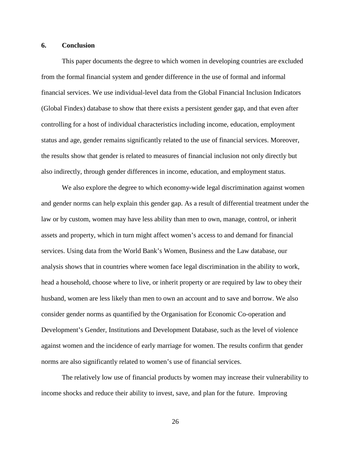#### **6. Conclusion**

This paper documents the degree to which women in developing countries are excluded from the formal financial system and gender difference in the use of formal and informal financial services. We use individual-level data from the Global Financial Inclusion Indicators (Global Findex) database to show that there exists a persistent gender gap, and that even after controlling for a host of individual characteristics including income, education, employment status and age, gender remains significantly related to the use of financial services. Moreover, the results show that gender is related to measures of financial inclusion not only directly but also indirectly, through gender differences in income, education, and employment status.

We also explore the degree to which economy-wide legal discrimination against women and gender norms can help explain this gender gap. As a result of differential treatment under the law or by custom, women may have less ability than men to own, manage, control, or inherit assets and property, which in turn might affect women's access to and demand for financial services. Using data from the World Bank's Women, Business and the Law database, our analysis shows that in countries where women face legal discrimination in the ability to work, head a household, choose where to live, or inherit property or are required by law to obey their husband, women are less likely than men to own an account and to save and borrow. We also consider gender norms as quantified by the Organisation for Economic Co-operation and Development's Gender, Institutions and Development Database, such as the level of violence against women and the incidence of early marriage for women. The results confirm that gender norms are also significantly related to women's use of financial services.

The relatively low use of financial products by women may increase their vulnerability to income shocks and reduce their ability to invest, save, and plan for the future. Improving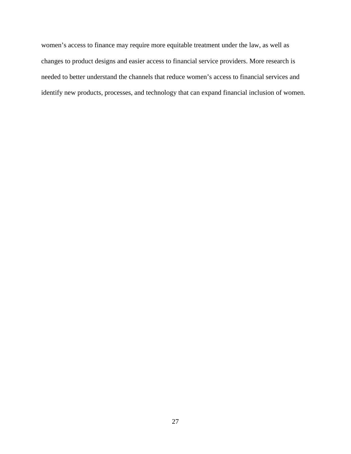women's access to finance may require more equitable treatment under the law, as well as changes to product designs and easier access to financial service providers. More research is needed to better understand the channels that reduce women's access to financial services and identify new products, processes, and technology that can expand financial inclusion of women.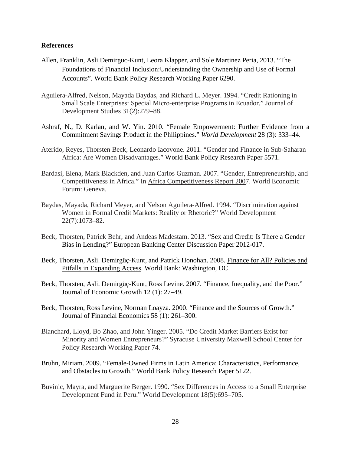#### **References**

- Allen, Franklin, Asli Demirguc-Kunt, Leora Klapper, and Sole Martinez Peria, 2013. "The Foundations of Financial Inclusion:Understanding the Ownership and Use of Formal Accounts". World Bank Policy Research Working Paper 6290.
- Aguilera-Alfred, Nelson, Mayada Baydas, and Richard L. Meyer. 1994. "Credit Rationing in Small Scale Enterprises: Special Micro-enterprise Programs in Ecuador." Journal of Development Studies 31(2):279–88.
- Ashraf, N., D. Karlan, and W. Yin. 2010. "Female Empowerment: Further Evidence from a Commitment Savings Product in the Philippines." *World Development* 28 (3): 333–44.
- Aterido, Reyes, Thorsten Beck, Leonardo Iacovone. 2011. "Gender and Finance in Sub-Saharan Africa: Are Women Disadvantages." World Bank Policy Research Paper 5571.
- Bardasi, Elena, Mark Blackden, and Juan Carlos Guzman. 2007. "Gender, Entrepreneurship, and Competitiveness in Africa." In Africa Competitiveness Report 2007. World Economic Forum: Geneva.
- Baydas, Mayada, Richard Meyer, and Nelson Aguilera-Alfred. 1994. "Discrimination against Women in Formal Credit Markets: Reality or Rhetoric?" World Development 22(7):1073–82.
- Beck, Thorsten, Patrick Behr, and Andeas Madestam. 2013. "Sex and Credit: Is There a Gender Bias in Lending?" European Banking Center Discussion Paper 2012-017.
- Beck, Thorsten, Asli. Demirgüç-Kunt, and Patrick Honohan. 2008. Finance for All? Policies and Pitfalls in Expanding Access. World Bank: Washington, DC.
- Beck, Thorsten, Asli. Demirgüç-Kunt, Ross Levine. 2007. "Finance, Inequality, and the Poor." Journal of Economic Growth 12 (1): 27–49.
- Beck, Thorsten, Ross Levine, Norman Loayza. 2000. "Finance and the Sources of Growth." Journal of Financial Economics 58 (1): 261–300.
- Blanchard, Lloyd, Bo Zhao, and John Yinger. 2005. "Do Credit Market Barriers Exist for Minority and Women Entrepreneurs?" Syracuse University Maxwell School Center for Policy Research Working Paper 74.
- Bruhn, Miriam. 2009. "Female-Owned Firms in Latin America: Characteristics, Performance, and Obstacles to Growth." World Bank Policy Research Paper 5122.
- Buvinic, Mayra, and Marguerite Berger. 1990. "Sex Differences in Access to a Small Enterprise Development Fund in Peru." World Development 18(5):695–705.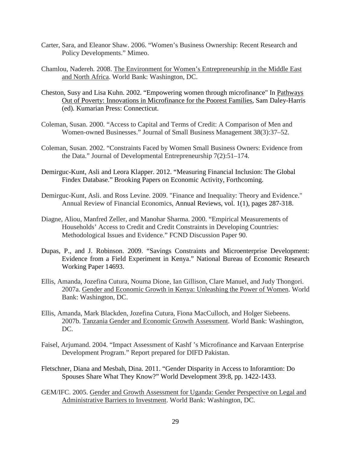- Carter, Sara, and Eleanor Shaw. 2006. "Women's Business Ownership: Recent Research and Policy Developments." Mimeo.
- Chamlou, Nadereh. 2008. The Environment for Women's Entrepreneurship in the Middle East and North Africa. World Bank: Washington, DC.
- Cheston, Susy and Lisa Kuhn. 2002. "Empowering women through microfinance" In Pathways Out of Poverty: Innovations in Microfinance for the Poorest Families*,* Sam Daley-Harris (ed)*.* Kumarian Press: Connecticut.
- Coleman, Susan. 2000. "Access to Capital and Terms of Credit: A Comparison of Men and Women-owned Businesses." Journal of Small Business Management 38(3):37–52.
- Coleman, Susan. 2002. "Constraints Faced by Women Small Business Owners: Evidence from the Data." Journal of Developmental Entrepreneurship 7(2):51–174.
- Demirguc-Kunt, Asli and Leora Klapper. 2012. "Measuring Financial Inclusion: The Global Findex Database." Brooking Papers on Economic Activity, Forthcoming.
- Demirguc-Kunt, Asli. and Ross Levine. 2009. "Finance and Inequality: Theory and Evidence." Annual Review of Financial Economics, Annual Reviews, vol. 1(1), pages 287-318.
- Diagne, Aliou, Manfred Zeller, and Manohar Sharma. 2000. "Empirical Measurements of Households' Access to Credit and Credit Constraints in Developing Countries: Methodological Issues and Evidence." FCND Discussion Paper 90.
- Dupas, P., and J. Robinson. 2009. "Savings Constraints and Microenterprise Development: Evidence from a Field Experiment in Kenya." National Bureau of Economic Research Working Paper 14693.
- Ellis, Amanda, Jozefina Cutura, Nouma Dione, Ian Gillison, Clare Manuel, and Judy Thongori. 2007a. Gender and Economic Growth in Kenya: Unleashing the Power of Women. World Bank: Washington, DC.
- Ellis, Amanda, Mark Blackden, Jozefina Cutura, Fiona MacCulloch, and Holger Siebeens. 2007b. Tanzania Gender and Economic Growth Assessment. World Bank: Washington, DC.
- Faisel, Arjumand. 2004. "Impact Assessment of Kashf 's Microfinance and Karvaan Enterprise Development Program." Report prepared for DIFD Pakistan.
- Fletschner, Diana and Mesbah, Dina. 2011. "Gender Disparity in Access to Inforamtion: Do Spouses Share What They Know?" World Development 39:8, pp. 1422-1433.
- GEM/IFC. 2005. Gender and Growth Assessment for Uganda: Gender Perspective on Legal and Administrative Barriers to Investment. World Bank: Washington, DC.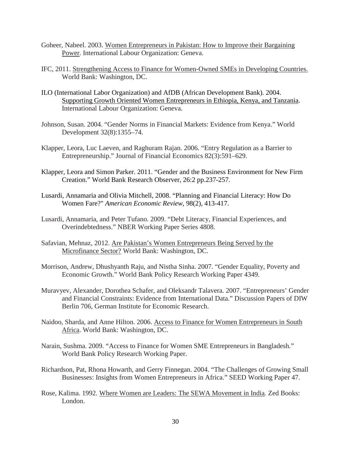- Goheer, Nabeel. 2003. Women Entrepreneurs in Pakistan: How to Improve their Bargaining Power. International Labour Organization: Geneva.
- IFC, 2011. Strengthening Access to Finance for Women-Owned SMEs in Developing Countries. World Bank: Washington, DC.
- ILO (International Labor Organization) and AfDB (African Development Bank). 2004. Supporting Growth Oriented Women Entrepreneurs in Ethiopia, Kenya, and Tanzania. International Labour Organization: Geneva.
- Johnson, Susan. 2004. "Gender Norms in Financial Markets: Evidence from Kenya." World Development 32(8):1355–74.
- Klapper, Leora, Luc Laeven, and Raghuram Rajan. 2006. "Entry Regulation as a Barrier to Entrepreneurship." Journal of Financial Economics 82(3):591–629.
- Klapper, Leora and Simon Parker. 2011. "Gender and the Business Environment for New Firm Creation." World Bank Research Observer, 26:2 pp.237-257.
- Lusardi, Annamaria and Olivia Mitchell, 2008. "Planning and Financial Literacy: How Do Women Fare?" *American Economic Review*, 98(2), 413-417.
- Lusardi, Annamaria, and Peter Tufano. 2009. "Debt Literacy, Financial Experiences, and Overindebtedness." NBER Working Paper Series 4808.
- Safavian, Mehnaz, 2012. Are Pakistan's Women Entrepreneurs Being Served by the Microfinance Sector? World Bank: Washington, DC.
- Morrison, Andrew, Dhushyanth Raju, and Nistha Sinha. 2007. "Gender Equality, Poverty and Economic Growth." World Bank Policy Research Working Paper 4349.
- Muravyev, Alexander, Dorothea Schafer, and Oleksandr Talavera. 2007. "Entrepreneurs' Gender and Financial Constraints: Evidence from International Data." Discussion Papers of DIW Berlin 706, German Institute for Economic Research.
- Naidoo, Sharda, and Anne Hilton. 2006. Access to Finance for Women Entrepreneurs in South Africa. World Bank: Washington, DC.
- Narain, Sushma. 2009. "Access to Finance for Women SME Entrepreneurs in Bangladesh." World Bank Policy Research Working Paper.
- Richardson, Pat, Rhona Howarth, and Gerry Finnegan. 2004. "The Challenges of Growing Small Businesses: Insights from Women Entrepreneurs in Africa." SEED Working Paper 47.
- Rose, Kalima. 1992. Where Women are Leaders: The SEWA Movement in India*.* Zed Books: London.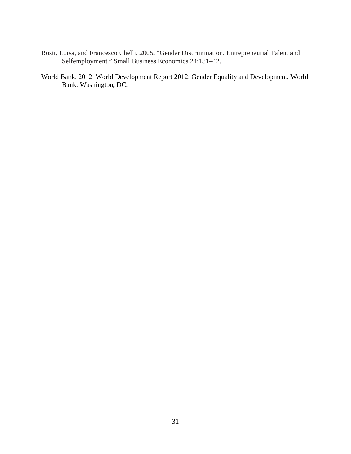- Rosti, Luisa, and Francesco Chelli. 2005. "Gender Discrimination, Entrepreneurial Talent and Selfemployment." Small Business Economics 24:131–42.
- World Bank. 2012. World Development Report 2012: Gender Equality and Development*.* World Bank: Washington, DC.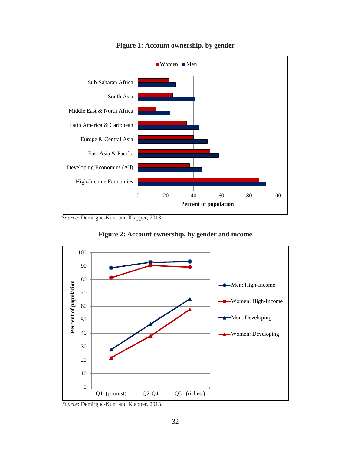

**Figure 1: Account ownership, by gender**

*Source*: Demirguc-Kunt and Klapper, 2013.





*Source*: Demirguc-Kunt and Klapper, 2013.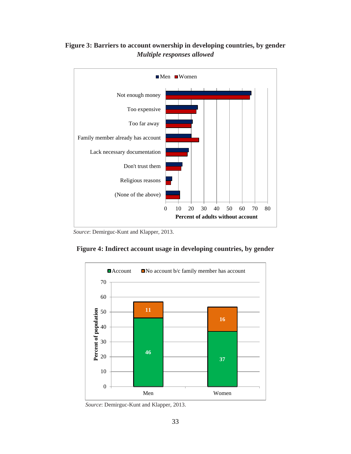

#### **Figure 3: Barriers to account ownership in developing countries, by gender**  *Multiple responses allowed*

 *Source*: Demirguc-Kunt and Klapper, 2013.





 *Source*: Demirguc-Kunt and Klapper, 2013.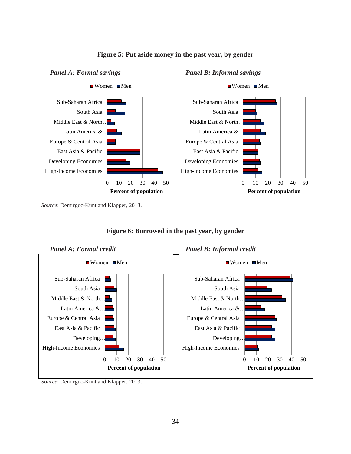

#### F**igure 5: Put aside money in the past year, by gender**

*Source*: Demirguc-Kunt and Klapper, 2013.



#### **Figure 6: Borrowed in the past year, by gender**

*Source*: Demirguc-Kunt and Klapper, 2013.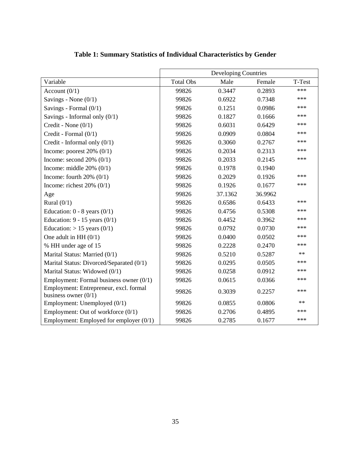|                                                                  |                  | Developing Countries |         |        |
|------------------------------------------------------------------|------------------|----------------------|---------|--------|
| Variable                                                         | <b>Total Obs</b> | Male                 | Female  | T-Test |
| Account $(0/1)$                                                  | 99826            | 0.3447               | 0.2893  | ***    |
| Savings - None $(0/1)$                                           | 99826            | 0.6922               | 0.7348  | ***    |
| Savings - Formal $(0/1)$                                         | 99826            | 0.1251               | 0.0986  | ***    |
| Savings - Informal only $(0/1)$                                  | 99826            | 0.1827               | 0.1666  | ***    |
| Credit - None $(0/1)$                                            | 99826            | 0.6031               | 0.6429  | ***    |
| Credit - Formal (0/1)                                            | 99826            | 0.0909               | 0.0804  | ***    |
| Credit - Informal only $(0/1)$                                   | 99826            | 0.3060               | 0.2767  | ***    |
| Income: poorest $20\%$ (0/1)                                     | 99826            | 0.2034               | 0.2313  | ***    |
| Income: second $20\%$ (0/1)                                      | 99826            | 0.2033               | 0.2145  | ***    |
| Income: middle $20\%$ (0/1)                                      | 99826            | 0.1978               | 0.1940  |        |
| Income: fourth $20\%$ (0/1)                                      | 99826            | 0.2029               | 0.1926  | ***    |
| Income: richest $20\%$ (0/1)                                     | 99826            | 0.1926               | 0.1677  | ***    |
| Age                                                              | 99826            | 37.1362              | 36.9962 |        |
| Rural $(0/1)$                                                    | 99826            | 0.6586               | 0.6433  | ***    |
| Education: $0 - 8$ years $(0/1)$                                 | 99826            | 0.4756               | 0.5308  | ***    |
| Education: $9 - 15$ years $(0/1)$                                | 99826            | 0.4452               | 0.3962  | ***    |
| Education: $> 15$ years (0/1)                                    | 99826            | 0.0792               | 0.0730  | ***    |
| One adult in HH $(0/1)$                                          | 99826            | 0.0400               | 0.0502  | ***    |
| % HH under age of 15                                             | 99826            | 0.2228               | 0.2470  | ***    |
| Marital Status: Married (0/1)                                    | 99826            | 0.5210               | 0.5287  | $**$   |
| Marital Status: Divorced/Separated (0/1)                         | 99826            | 0.0295               | 0.0505  | ***    |
| Marital Status: Widowed (0/1)                                    | 99826            | 0.0258               | 0.0912  | ***    |
| Employment: Formal business owner $(0/1)$                        | 99826            | 0.0615               | 0.0366  | ***    |
| Employment: Entrepreneur, excl. formal<br>business owner $(0/1)$ | 99826            | 0.3039               | 0.2257  | ***    |
| Employment: Unemployed (0/1)                                     | 99826            | 0.0855               | 0.0806  | $**$   |
| Employment: Out of workforce $(0/1)$                             | 99826            | 0.2706               | 0.4895  | ***    |
| Employment: Employed for employer $(0/1)$                        | 99826            | 0.2785               | 0.1677  | ***    |

**Table 1: Summary Statistics of Individual Characteristics by Gender**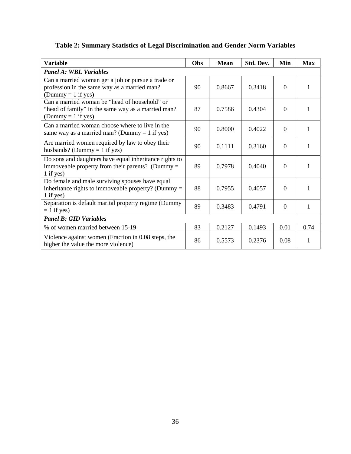| Table 2: Summary Statistics of Legal Discrimination and Gender Norm Variables |  |  |  |  |
|-------------------------------------------------------------------------------|--|--|--|--|
|                                                                               |  |  |  |  |

| <b>Variable</b>                                                                                                             | Obs | <b>Mean</b> | Std. Dev. | Min            | <b>Max</b> |
|-----------------------------------------------------------------------------------------------------------------------------|-----|-------------|-----------|----------------|------------|
| <b>Panel A: WBL Variables</b>                                                                                               |     |             |           |                |            |
| Can a married woman get a job or pursue a trade or<br>profession in the same way as a married man?<br>(Dummy = $1$ if yes)  | 90  | 0.8667      | 0.3418    | $\theta$       | 1          |
| Can a married woman be "head of household" or<br>"head of family" in the same way as a married man?<br>(Dummy = 1 if yes)   | 87  | 0.7586      | 0.4304    | $\theta$       | 1          |
| Can a married woman choose where to live in the<br>same way as a married man? (Dummy = 1 if yes)                            | 90  | 0.8000      | 0.4022    | $\theta$       | 1          |
| Are married women required by law to obey their<br>husbands? (Dummy = 1 if yes)                                             | 90  | 0.1111      | 0.3160    | $\overline{0}$ | 1          |
| Do sons and daughters have equal inheritance rights to<br>immoveable property from their parents? (Dummy $=$<br>$1$ if yes) | 89  | 0.7978      | 0.4040    | $\theta$       | 1          |
| Do female and male surviving spouses have equal<br>inheritance rights to immoveable property? (Dummy $=$<br>$1$ if yes)     | 88  | 0.7955      | 0.4057    | $\Omega$       | 1          |
| Separation is default marital property regime (Dummy<br>$= 1$ if yes)                                                       | 89  | 0.3483      | 0.4791    | $\theta$       | 1          |
| <b>Panel B: GID Variables</b>                                                                                               |     |             |           |                |            |
| % of women married between 15-19                                                                                            | 83  | 0.2127      | 0.1493    | 0.01           | 0.74       |
| Violence against women (Fraction in 0.08 steps, the<br>higher the value the more violence)                                  | 86  | 0.5573      | 0.2376    | 0.08           | 1          |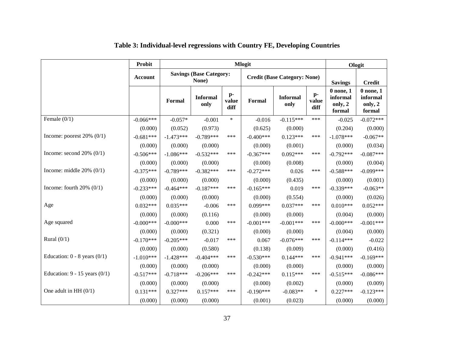|                                   | <b>Probit</b> | <b>Mlogit</b> |                                         |                                 |             |                                     |                     | Ologit                                         |                                                |
|-----------------------------------|---------------|---------------|-----------------------------------------|---------------------------------|-------------|-------------------------------------|---------------------|------------------------------------------------|------------------------------------------------|
|                                   | Account       |               | <b>Savings (Base Category:</b><br>None) |                                 |             | <b>Credit (Base Category: None)</b> |                     | <b>Savings</b>                                 | <b>Credit</b>                                  |
|                                   |               | Formal        | <b>Informal</b><br>only                 | $\mathbf{p}$ -<br>value<br>diff | Formal      | <b>Informal</b><br>only             | p-<br>value<br>diff | $0$ none, $1$<br>informal<br>only, 2<br>formal | $0$ none, $1$<br>informal<br>only, 2<br>formal |
| Female $(0/1)$                    | $-0.066***$   | $-0.057*$     | $-0.001$                                | $\ast$                          | $-0.016$    | $-0.115***$                         | ***                 | $-0.025$                                       | $-0.072***$                                    |
|                                   | (0.000)       | (0.052)       | (0.973)                                 |                                 | (0.625)     | (0.000)                             |                     | (0.204)                                        | (0.000)                                        |
| Income: poorest $20\%$ (0/1)      | $-0.681***$   | $-1.473***$   | $-0.789***$                             | ***                             | $-0.400***$ | $0.123***$                          | ***                 | $-1.078***$                                    | $-0.067**$                                     |
|                                   | (0.000)       | (0.000)       | (0.000)                                 |                                 | (0.000)     | (0.001)                             |                     | (0.000)                                        | (0.034)                                        |
| Income: second $20\%$ (0/1)       | $-0.506***$   | $-1.086***$   | $-0.532***$                             | ***                             | $-0.367***$ | $0.092***$                          | ***                 | $-0.792***$                                    | $-0.087***$                                    |
|                                   | (0.000)       | (0.000)       | (0.000)                                 |                                 | (0.000)     | (0.008)                             |                     | (0.000)                                        | (0.004)                                        |
| Income: middle $20\%$ (0/1)       | $-0.375***$   | $-0.789***$   | $-0.382***$                             | ***                             | $-0.272***$ | 0.026                               | ***                 | $-0.588***$                                    | $-0.099***$                                    |
|                                   | (0.000)       | (0.000)       | (0.000)                                 |                                 | (0.000)     | (0.435)                             |                     | (0.000)                                        | (0.001)                                        |
| Income: fourth $20\%$ (0/1)       | $-0.233***$   | $-0.464***$   | $-0.187***$                             | ***                             | $-0.165***$ | 0.019                               | ***                 | $-0.339***$                                    | $-0.063**$                                     |
|                                   | (0.000)       | (0.000)       | (0.000)                                 |                                 | (0.000)     | (0.554)                             |                     | (0.000)                                        | (0.026)                                        |
| Age                               | $0.032***$    | $0.035***$    | $-0.006$                                | ***                             | $0.099***$  | $0.037***$                          | ***                 | $0.010***$                                     | $0.052***$                                     |
|                                   | (0.000)       | (0.000)       | (0.116)                                 |                                 | (0.000)     | (0.000)                             |                     | (0.004)                                        | (0.000)                                        |
| Age squared                       | $-0.000***$   | $-0.000***$   | 0.000                                   | ***                             | $-0.001***$ | $-0.001***$                         | ***                 | $-0.000***$                                    | $-0.001***$                                    |
|                                   | (0.000)       | (0.000)       | (0.321)                                 |                                 | (0.000)     | (0.000)                             |                     | (0.004)                                        | (0.000)                                        |
| Rural $(0/1)$                     | $-0.170***$   | $-0.205***$   | $-0.017$                                | ***                             | 0.067       | $-0.076***$                         | ***                 | $-0.114***$                                    | $-0.022$                                       |
|                                   | (0.000)       | (0.000)       | (0.580)                                 |                                 | (0.138)     | (0.009)                             |                     | (0.000)                                        | (0.416)                                        |
| Education: $0 - 8$ years $(0/1)$  | $-1.010***$   | $-1.428***$   | $-0.404***$                             | ***                             | $-0.530***$ | $0.144***$                          | ***                 | $-0.941***$                                    | $-0.169***$                                    |
|                                   | (0.000)       | (0.000)       | (0.000)                                 |                                 | (0.000)     | (0.000)                             |                     | (0.000)                                        | (0.000)                                        |
| Education: $9 - 15$ years $(0/1)$ | $-0.517***$   | $-0.718***$   | $-0.206***$                             | ***                             | $-0.242***$ | $0.115***$                          | ***                 | $-0.515***$                                    | $-0.086***$                                    |
|                                   | (0.000)       | (0.000)       | (0.000)                                 |                                 | (0.000)     | (0.002)                             |                     | (0.000)                                        | (0.009)                                        |
| One adult in HH $(0/1)$           | $0.131***$    | $0.327***$    | $0.157***$                              | ***                             | $-0.190***$ | $-0.083**$                          | $\ast$              | $0.227***$                                     | $-0.123***$                                    |
|                                   | (0.000)       | (0.000)       | (0.000)                                 |                                 | (0.001)     | (0.023)                             |                     | (0.000)                                        | (0.000)                                        |

### **Table 3: Individual-level regressions with Country FE, Developing Countries**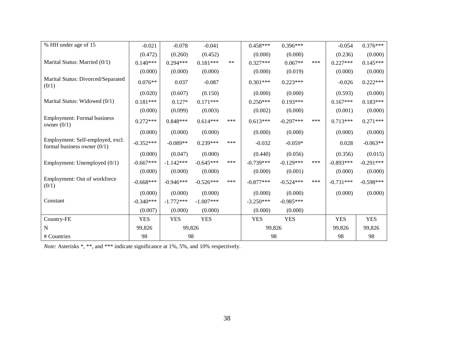| % HH under age of 15                                              | $-0.021$    | $-0.078$    | $-0.041$    |       | $0.458***$  | $0.396***$  |     | $-0.054$    | $0.376***$  |
|-------------------------------------------------------------------|-------------|-------------|-------------|-------|-------------|-------------|-----|-------------|-------------|
|                                                                   | (0.472)     | (0.260)     | (0.452)     |       | (0.000)     | (0.000)     |     | (0.236)     | (0.000)     |
| Marital Status: Married (0/1)                                     | $0.140***$  | $0.294***$  | $0.181***$  | $***$ | $0.327***$  | $0.067**$   | *** | $0.227***$  | $0.145***$  |
|                                                                   | (0.000)     | (0.000)     | (0.000)     |       | (0.000)     | (0.019)     |     | (0.000)     | (0.000)     |
| Marital Status: Divorced/Separated<br>(0/1)                       | $0.076**$   | 0.037       | $-0.087$    |       | $0.301***$  | $0.223***$  |     | $-0.026$    | $0.222***$  |
|                                                                   | (0.020)     | (0.607)     | (0.150)     |       | (0.000)     | (0.000)     |     | (0.593)     | (0.000)     |
| Marital Status: Widowed (0/1)                                     | $0.181***$  | $0.127*$    | $0.171***$  |       | $0.250***$  | $0.193***$  |     | $0.167***$  | $0.183***$  |
|                                                                   | (0.000)     | (0.099)     | (0.003)     |       | (0.002)     | (0.000)     |     | (0.001)     | (0.000)     |
| <b>Employment: Formal business</b><br>owner $(0/1)$               | $0.272***$  | $0.848***$  | $0.614***$  | ***   | $0.613***$  | $-0.297***$ | *** | $0.713***$  | $0.271***$  |
|                                                                   | (0.000)     | (0.000)     | (0.000)     |       | (0.000)     | (0.000)     |     | (0.000)     | (0.000)     |
| Employment: Self-employed, excl.<br>formal business owner $(0/1)$ | $-0.352***$ | $-0.089**$  | $0.239***$  | ***   | $-0.032$    | $-0.059*$   |     | 0.028       | $-0.063**$  |
|                                                                   | (0.000)     | (0.047)     | (0.000)     |       | (0.440)     | (0.056)     |     | (0.356)     | (0.015)     |
| Employment: Unemployed (0/1)                                      | $-0.667***$ | $-1.142***$ | $-0.645***$ | ***   | $-0.739***$ | $-0.129***$ | *** | $-0.893***$ | $-0.291***$ |
|                                                                   | (0.000)     | (0.000)     | (0.000)     |       | (0.000)     | (0.001)     |     | (0.000)     | (0.000)     |
| Employment: Out of workforce<br>(0/1)                             | $-0.668***$ | $-0.946***$ | $-0.526***$ | ***   | $-0.877***$ | $-0.524***$ | *** | $-0.731***$ | $-0.598***$ |
|                                                                   | (0.000)     | (0.000)     | (0.000)     |       | (0.000)     | (0.000)     |     | (0.000)     | (0.000)     |
| Constant                                                          | $-0.340***$ | $-1.772***$ | $-1.007***$ |       | $-3.250***$ | $-0.985***$ |     |             |             |
|                                                                   | (0.007)     | (0.000)     | (0.000)     |       | (0.000)     | (0.000)     |     |             |             |
| Country-FE                                                        | <b>YES</b>  | <b>YES</b>  | <b>YES</b>  |       | <b>YES</b>  | <b>YES</b>  |     | <b>YES</b>  | <b>YES</b>  |
| $\mathbf N$                                                       | 99,826      | 99,826      |             |       | 99,826      |             |     | 99,826      | 99,826      |
| # Countries                                                       | 98          | 98          |             |       | 98          |             |     | 98          | 98          |

*Note*: Asterisks \*, \*\*, and \*\*\* indicate significance at 1%, 5%, and 10% respectively.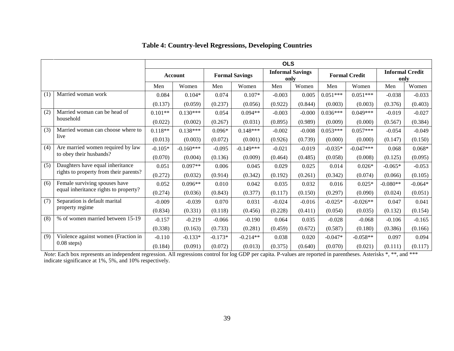|     |                                        | <b>OLS</b> |                |           |                       |          |                                 |            |                      |            |                                |
|-----|----------------------------------------|------------|----------------|-----------|-----------------------|----------|---------------------------------|------------|----------------------|------------|--------------------------------|
|     |                                        |            | <b>Account</b> |           | <b>Formal Savings</b> |          | <b>Informal Savings</b><br>only |            | <b>Formal Credit</b> |            | <b>Informal Credit</b><br>only |
|     |                                        | Men        | Women          | Men       | Women                 | Men      | Women                           | Men        | Women                | Men        | Women                          |
| (1) | Married woman work                     | 0.084      | $0.104*$       | 0.074     | $0.107*$              | $-0.003$ | 0.005                           | $0.051***$ | $0.051***$           | $-0.038$   | $-0.033$                       |
|     |                                        | (0.137)    | (0.059)        | (0.237)   | (0.056)               | (0.922)  | (0.844)                         | (0.003)    | (0.003)              | (0.376)    | (0.403)                        |
| (2) | Married woman can be head of           | $0.101**$  | $0.130***$     | 0.054     | $0.094**$             | $-0.003$ | $-0.000$                        | $0.036***$ | $0.049***$           | $-0.019$   | $-0.027$                       |
|     | household                              | (0.022)    | (0.002)        | (0.267)   | (0.031)               | (0.895)  | (0.989)                         | (0.009)    | (0.000)              | (0.567)    | (0.384)                        |
| (3) | Married woman can choose where to      | $0.118**$  | $0.138***$     | $0.096*$  | $0.148***$            | $-0.002$ | $-0.008$                        | $0.053***$ | $0.057***$           | $-0.054$   | $-0.049$                       |
|     | live                                   | (0.013)    | (0.003)        | (0.072)   | (0.001)               | (0.926)  | (0.739)                         | (0.000)    | (0.000)              | (0.147)    | (0.150)                        |
| (4) | Are married women required by law      | $-0.105*$  | $-0.160***$    | $-0.095$  | $-0.149***$           | $-0.021$ | $-0.019$                        | $-0.035*$  | $-0.047***$          | 0.068      | $0.068*$                       |
|     | to obey their husbands?                | (0.070)    | (0.004)        | (0.136)   | (0.009)               | (0.464)  | (0.485)                         | (0.058)    | (0.008)              | (0.125)    | (0.095)                        |
| (5) | Daughters have equal inheritance       | 0.051      | $0.097**$      | 0.006     | 0.045                 | 0.029    | 0.025                           | 0.014      | $0.026*$             | $-0.065*$  | $-0.053$                       |
|     | rights to property from their parents? | (0.272)    | (0.032)        | (0.914)   | (0.342)               | (0.192)  | (0.261)                         | (0.342)    | (0.074)              | (0.066)    | (0.105)                        |
| (6) | Female surviving spouses have          | 0.052      | $0.096**$      | 0.010     | 0.042                 | 0.035    | 0.032                           | 0.016      | $0.025*$             | $-0.080**$ | $-0.064*$                      |
|     | equal inheritance rights to property?  | (0.274)    | (0.036)        | (0.843)   | (0.377)               | (0.117)  | (0.150)                         | (0.297)    | (0.090)              | (0.024)    | (0.051)                        |
| (7) | Separation is default marital          | $-0.009$   | $-0.039$       | 0.070     | 0.031                 | $-0.024$ | $-0.016$                        | $-0.025*$  | $-0.026**$           | 0.047      | 0.041                          |
|     | property regime                        | (0.834)    | (0.331)        | (0.118)   | (0.456)               | (0.228)  | (0.411)                         | (0.054)    | (0.035)              | (0.132)    | (0.154)                        |
| (8) | % of women married between 15-19       | $-0.157$   | $-0.219$       | $-0.066$  | $-0.190$              | 0.064    | 0.035                           | $-0.028$   | $-0.068$             | $-0.106$   | $-0.165$                       |
|     |                                        | (0.338)    | (0.163)        | (0.733)   | (0.281)               | (0.459)  | (0.672)                         | (0.587)    | (0.180)              | (0.386)    | (0.166)                        |
| (9) | Violence against women (Fraction in    | $-0.110$   | $-0.133*$      | $-0.173*$ | $-0.214**$            | 0.038    | 0.020                           | $-0.047*$  | $-0.058**$           | 0.097      | 0.094                          |
|     | $0.08$ steps)                          | (0.184)    | (0.091)        | (0.072)   | (0.013)               | (0.375)  | (0.640)                         | (0.070)    | (0.021)              | (0.111)    | (0.117)                        |

#### **Table 4: Country-level Regressions, Developing Countries**

*Note*: Each box represents an independent regression. All regressions control for log GDP per capita. P-values are reported in parentheses. Asterisks \*, \*\*, and \*\*\* indicate significance at 1%, 5%, and 10% respectively.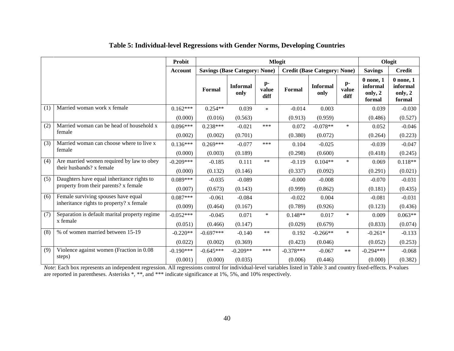|     |                                               | Probit         | <b>Mlogit</b> |                                      |                     |                                     |                         |                                 | Ologit                                         |                                                |
|-----|-----------------------------------------------|----------------|---------------|--------------------------------------|---------------------|-------------------------------------|-------------------------|---------------------------------|------------------------------------------------|------------------------------------------------|
|     |                                               | <b>Account</b> |               | <b>Savings (Base Category: None)</b> |                     | <b>Credit (Base Category: None)</b> |                         |                                 | <b>Savings</b>                                 | <b>Credit</b>                                  |
|     |                                               |                | Formal        | <b>Informal</b><br>only              | p-<br>value<br>diff | Formal                              | <b>Informal</b><br>only | $\mathbf{p}$ -<br>value<br>diff | $0$ none, $1$<br>informal<br>only, 2<br>formal | $0$ none, $1$<br>informal<br>only, 2<br>formal |
| (1) | Married woman work x female                   | $0.162***$     | $0.254**$     | 0.039                                | $\ast$              | $-0.014$                            | 0.003                   |                                 | 0.039                                          | $-0.030$                                       |
|     |                                               | (0.000)        | (0.016)       | (0.563)                              |                     | (0.913)                             | (0.959)                 |                                 | (0.486)                                        | (0.527)                                        |
| (2) | Married woman can be head of household x      | $0.096***$     | $0.238***$    | $-0.021$                             | ***                 | 0.072                               | $-0.078**$              | $\ast$                          | 0.052                                          | $-0.046$                                       |
|     | female                                        | (0.002)        | (0.002)       | (0.701)                              |                     | (0.380)                             | (0.072)                 |                                 | (0.264)                                        | (0.223)                                        |
| (3) | Married woman can choose where to live x      | $0.136***$     | $0.269***$    | $-0.077$                             | ***                 | 0.104                               | $-0.025$                |                                 | $-0.039$                                       | $-0.047$                                       |
|     | female                                        | (0.000)        | (0.003)       | (0.189)                              |                     | (0.298)                             | (0.600)                 |                                 | (0.418)                                        | (0.245)                                        |
| (4) | Are married women required by law to obey     | $-0.209***$    | $-0.185$      | 0.111                                | **                  | $-0.119$                            | $0.104**$               | $\ast$                          | 0.069                                          | $0.118**$                                      |
|     | their husbands? x female                      | (0.000)        | (0.132)       | (0.146)                              |                     | (0.337)                             | (0.092)                 |                                 | (0.291)                                        | (0.021)                                        |
| (5) | Daughters have equal inheritance rights to    | $0.089***$     | $-0.035$      | $-0.089$                             |                     | $-0.000$                            | $-0.008$                |                                 | $-0.070$                                       | $-0.031$                                       |
|     | property from their parents? x female         | (0.007)        | (0.673)       | (0.143)                              |                     | (0.999)                             | (0.862)                 |                                 | (0.181)                                        | (0.435)                                        |
| (6) | Female surviving spouses have equal           | $0.087***$     | $-0.061$      | $-0.084$                             |                     | $-0.022$                            | 0.004                   |                                 | $-0.081$                                       | $-0.031$                                       |
|     | inheritance rights to property? x female      | (0.009)        | (0.464)       | (0.167)                              |                     | (0.789)                             | (0.926)                 |                                 | (0.123)                                        | (0.436)                                        |
| (7) | Separation is default marital property regime | $-0.052***$    | $-0.045$      | 0.071                                | $\ast$              | $0.148**$                           | 0.017                   | $\ast$                          | 0.009                                          | $0.063**$                                      |
|     | x female                                      | (0.051)        | (0.466)       | (0.147)                              |                     | (0.029)                             | (0.679)                 |                                 | (0.833)                                        | (0.074)                                        |
| (8) | % of women married between 15-19              | $-0.220**$     | $-0.697***$   | $-0.140$                             | $***$               | 0.192                               | $-0.266**$              | $\ast$                          | $-0.261*$                                      | $-0.133$                                       |
|     |                                               | (0.022)        | (0.002)       | (0.369)                              |                     | (0.423)                             | (0.046)                 |                                 | (0.052)                                        | (0.253)                                        |
| (9) | Violence against women (Fraction in 0.08      | $-0.190***$    | $-0.645***$   | $-0.209**$                           | ***                 | $-0.378***$                         | $-0.067$                | $**$                            | $-0.294***$                                    | $-0.068$                                       |
|     | steps)                                        | (0.001)        | (0.000)       | (0.035)                              |                     | (0.006)                             | (0.446)                 |                                 | (0.000)                                        | (0.382)                                        |

#### **Table 5: Individual-level Regressions with Gender Norms, Developing Countries**

*Note*: Each box represents an independent regression. All regressions control for individual-level variables listed in Table 3 and country fixed-effects. P-values are reported in parentheses. Asterisks \*, \*\*, and \*\*\* indicate significance at 1%, 5%, and 10% respectively.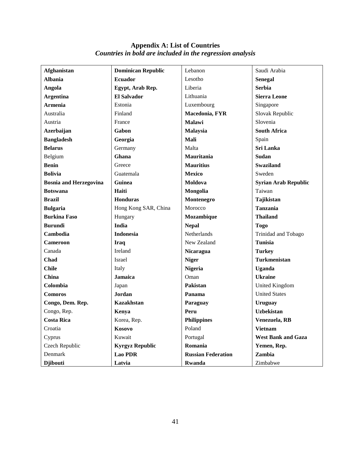| <b>Afghanistan</b>            | <b>Dominican Republic</b> | Lebanon                   | Saudi Arabia                |
|-------------------------------|---------------------------|---------------------------|-----------------------------|
| <b>Albania</b>                | <b>Ecuador</b>            | Lesotho                   | <b>Senegal</b>              |
| Angola                        | Egypt, Arab Rep.          | Liberia                   | <b>Serbia</b>               |
| <b>Argentina</b>              | <b>El Salvador</b>        | Lithuania                 | <b>Sierra Leone</b>         |
| <b>Armenia</b>                | Estonia                   | Luxembourg                | Singapore                   |
| Australia                     | Finland                   | Macedonia, FYR            | Slovak Republic             |
| Austria                       | France                    | <b>Malawi</b>             | Slovenia                    |
| <b>Azerbaijan</b>             | Gabon                     | Malaysia                  | <b>South Africa</b>         |
| <b>Bangladesh</b>             | Georgia                   | Mali                      | Spain                       |
| <b>Belarus</b>                | Germany                   | Malta                     | Sri Lanka                   |
| Belgium                       | Ghana                     | Mauritania                | <b>Sudan</b>                |
| <b>Benin</b>                  | Greece                    | <b>Mauritius</b>          | <b>Swaziland</b>            |
| <b>Bolivia</b>                | Guatemala                 | <b>Mexico</b>             | Sweden                      |
| <b>Bosnia and Herzegovina</b> | Guinea                    | Moldova                   | <b>Syrian Arab Republic</b> |
| <b>Botswana</b>               | Haiti                     | Mongolia                  | Taiwan                      |
| <b>Brazil</b>                 | <b>Honduras</b>           | Montenegro                | Tajikistan                  |
| <b>Bulgaria</b>               | Hong Kong SAR, China      | Morocco                   | <b>Tanzania</b>             |
| <b>Burkina Faso</b>           | Hungary                   | Mozambique                | <b>Thailand</b>             |
| <b>Burundi</b>                | <b>India</b>              | <b>Nepal</b>              | <b>Togo</b>                 |
| Cambodia                      | <b>Indonesia</b>          | Netherlands               | Trinidad and Tobago         |
| <b>Cameroon</b>               | Iraq                      | New Zealand               | <b>Tunisia</b>              |
| Canada                        | Ireland                   | Nicaragua                 | <b>Turkey</b>               |
| Chad                          | Israel                    | <b>Niger</b>              | <b>Turkmenistan</b>         |
| <b>Chile</b>                  | Italy                     | <b>Nigeria</b>            | <b>Uganda</b>               |
| China                         | <b>Jamaica</b>            | Oman                      | <b>Ukraine</b>              |
| Colombia                      | Japan                     | Pakistan                  | United Kingdom              |
| <b>Comoros</b>                | <b>Jordan</b>             | Panama                    | <b>United States</b>        |
| Congo, Dem. Rep.              | <b>Kazakhstan</b>         | Paraguay                  | Uruguay                     |
| Congo, Rep.                   | Kenya                     | Peru                      | <b>Uzbekistan</b>           |
| <b>Costa Rica</b>             | Korea, Rep.               | Philippines               | Venezuela, RB               |
| Croatia                       | Kosovo                    | Poland                    | <b>Vietnam</b>              |
| Cyprus                        | Kuwait                    | Portugal                  | <b>West Bank and Gaza</b>   |
| Czech Republic                | <b>Kyrgyz Republic</b>    | Romania                   | Yemen, Rep.                 |
| Denmark                       | <b>Lao PDR</b>            | <b>Russian Federation</b> | Zambia                      |
| <b>Djibouti</b>               | Latvia                    | Rwanda                    | Zimbabwe                    |

#### **Appendix A: List of Countries** *Countries in bold are included in the regression analysis*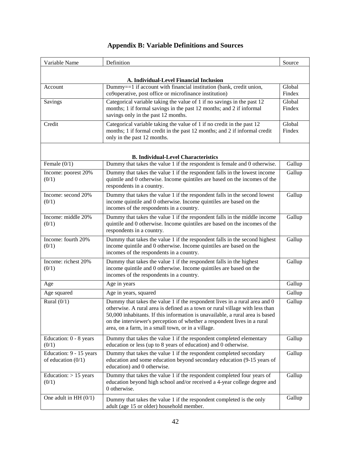| Variable Name                                   | Definition                                                                                                                                                                                                                                                                                                                                                                    | Source           |
|-------------------------------------------------|-------------------------------------------------------------------------------------------------------------------------------------------------------------------------------------------------------------------------------------------------------------------------------------------------------------------------------------------------------------------------------|------------------|
|                                                 | A. Individual-Level Financial Inclusion                                                                                                                                                                                                                                                                                                                                       |                  |
| Account                                         | Dummy==1 if account with financial institution (bank, credit union,<br>co9operative, post office or microfinance institution)                                                                                                                                                                                                                                                 | Global<br>Findex |
| Savings                                         | Categorical variable taking the value of 1 if no savings in the past 12<br>months; 1 if formal savings in the past 12 months; and 2 if informal<br>savings only in the past 12 months.                                                                                                                                                                                        | Global<br>Findex |
| Credit                                          | Categorical variable taking the value of 1 if no credit in the past 12<br>months; 1 if formal credit in the past 12 months; and 2 if informal credit<br>only in the past 12 months.                                                                                                                                                                                           | Global<br>Findex |
|                                                 | <b>B. Individual-Level Characteristics</b>                                                                                                                                                                                                                                                                                                                                    |                  |
| Female $(0/1)$                                  | Dummy that takes the value 1 if the respondent is female and 0 otherwise.                                                                                                                                                                                                                                                                                                     | Gallup           |
| Income: poorest 20%<br>(0/1)                    | Dummy that takes the value 1 if the respondent falls in the lowest income<br>quintile and 0 otherwise. Income quintiles are based on the incomes of the<br>respondents in a country.                                                                                                                                                                                          | Gallup           |
| Income: second 20%<br>(0/1)                     | Dummy that takes the value 1 if the respondent falls in the second lowest<br>income quintile and 0 otherwise. Income quintiles are based on the<br>incomes of the respondents in a country.                                                                                                                                                                                   | Gallup           |
| Income: middle 20%<br>(0/1)                     | Dummy that takes the value 1 if the respondent falls in the middle income<br>quintile and 0 otherwise. Income quintiles are based on the incomes of the<br>respondents in a country.                                                                                                                                                                                          | Gallup           |
| Income: fourth 20%<br>(0/1)                     | Dummy that takes the value 1 if the respondent falls in the second highest<br>income quintile and 0 otherwise. Income quintiles are based on the<br>incomes of the respondents in a country.                                                                                                                                                                                  | Gallup           |
| Income: richest 20%<br>(0/1)                    | Dummy that takes the value 1 if the respondent falls in the highest<br>income quintile and 0 otherwise. Income quintiles are based on the<br>incomes of the respondents in a country.                                                                                                                                                                                         | Gallup           |
| Age                                             | Age in years                                                                                                                                                                                                                                                                                                                                                                  | Gallup           |
| Age squared                                     | Age in years, squared                                                                                                                                                                                                                                                                                                                                                         | Gallup           |
| Rural $(0/1)$                                   | Dummy that takes the value 1 if the respondent lives in a rural area and 0<br>otherwise. A rural area is defined as a town or rural village with less than<br>50,000 inhabitants. If this information is unavailable, a rural area is based<br>on the interviewer's perception of whether a respondent lives in a rural<br>area, on a farm, in a small town, or in a village. | Gallup           |
| Education: 0 - 8 years<br>(0/1)                 | Dummy that takes the value 1 if the respondent completed elementary<br>education or less (up to 8 years of education) and 0 otherwise.                                                                                                                                                                                                                                        | Gallup           |
| Education: 9 - 15 years<br>of education $(0/1)$ | Dummy that takes the value 1 if the respondent completed secondary<br>education and some education beyond secondary education (9-15 years of<br>education) and 0 otherwise.                                                                                                                                                                                                   | Gallup           |
| Education: $> 15$ years<br>(0/1)                | Dummy that takes the value 1 if the respondent completed four years of<br>education beyond high school and/or received a 4-year college degree and<br>0 otherwise.                                                                                                                                                                                                            | Gallup           |
| One adult in HH $(0/1)$                         | Dummy that takes the value 1 if the respondent completed is the only<br>adult (age 15 or older) household member.                                                                                                                                                                                                                                                             | Gallup           |

#### **Appendix B: Variable Definitions and Sources**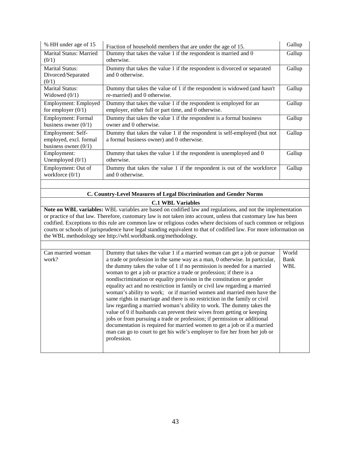| % HH under age of 15                                                  | Fraction of household members that are under the age of 15.                                                               | Gallup |
|-----------------------------------------------------------------------|---------------------------------------------------------------------------------------------------------------------------|--------|
| Marital Status: Married<br>(0/1)                                      | Dummy that takes the value 1 if the respondent is married and 0<br>otherwise.                                             | Gallup |
| <b>Marital Status:</b><br>Divorced/Separated<br>(0/1)                 | Dummy that takes the value 1 if the respondent is divorced or separated<br>and 0 otherwise.                               | Gallup |
| <b>Marital Status:</b><br>Widowed $(0/1)$                             | Dummy that takes the value of 1 if the respondent is widowed (and hasn't<br>re-married) and 0 otherwise.                  | Gallup |
| Employment: Employed<br>for employer $(0/1)$                          | Dummy that takes the value 1 if the respondent is employed for an<br>employer, either full or part time, and 0 otherwise. | Gallup |
| Employment: Formal<br>business owner $(0/1)$                          | Dummy that takes the value 1 if the respondent is a formal business<br>owner and 0 otherwise.                             | Gallup |
| Employment: Self-<br>employed, excl. formal<br>business owner $(0/1)$ | Dummy that takes the value 1 if the respondent is self-employed (but not<br>a formal business owner) and 0 otherwise.     | Gallup |
| Employment:<br>Unemployed $(0/1)$                                     | Dummy that takes the value 1 if the respondent is unemployed and 0<br>otherwise.                                          | Gallup |
| Employment: Out of<br>workforce $(0/1)$                               | Dummy that takes the value 1 if the respondent is out of the workforce<br>and 0 otherwise.                                | Gallup |

#### **C. Country-Level Measures of Legal Discrimination and Gender Norms**

#### **C.1 WBL Variables**

**Note on WBL variables:** WBL variables are based on codified law and regulations, and not the implementation or practice of that law. Therefore, customary law is not taken into account, unless that customary law has been codified. Exceptions to this rule are common law or religious codes where decisions of such common or religious courts or schools of jurisprudence have legal standing equivalent to that of codified law. For more information on the WBL methodology see http://wbl.worldbank.org/methodology.

| Can married woman | Dummy that takes the value 1 if a married woman can get a job or pursue     | World      |
|-------------------|-----------------------------------------------------------------------------|------------|
| work?             | a trade or profession in the same way as a man, 0 otherwise. In particular, | Bank       |
|                   | the dummy takes the value of 1 if no permission is needed for a married     | <b>WBL</b> |
|                   | woman to get a job or practice a trade or profession; if there is a         |            |
|                   | nondiscrimination or equality provision in the constitution or gender       |            |
|                   | equality act and no restriction in family or civil law regarding a married  |            |
|                   | woman's ability to work; or if married women and married men have the       |            |
|                   | same rights in marriage and there is no restriction in the family or civil  |            |
|                   | law regarding a married woman's ability to work. The dummy takes the        |            |
|                   | value of 0 if husbands can prevent their wives from getting or keeping      |            |
|                   | jobs or from pursuing a trade or profession; if permission or additional    |            |
|                   | documentation is required for married women to get a job or if a married    |            |
|                   | man can go to court to get his wife's employer to fire her from her job or  |            |
|                   | profession.                                                                 |            |
|                   |                                                                             |            |
|                   |                                                                             |            |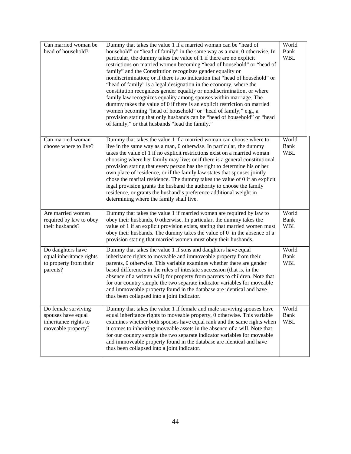| Can married woman be<br>head of household?                                               | Dummy that takes the value 1 if a married woman can be "head of<br>household" or "head of family" in the same way as a man, 0 otherwise. In<br>particular, the dummy takes the value of 1 if there are no explicit<br>restrictions on married women becoming "head of household" or "head of<br>family" and the Constitution recognizes gender equality or<br>nondiscrimination; or if there is no indication that "head of household" or<br>"head of family" is a legal designation in the economy, where the<br>constitution recognizes gender equality or nondiscrimination, or where<br>family law recognizes equality among spouses within marriage. The<br>dummy takes the value of 0 if there is an explicit restriction on married<br>women becoming "head of household" or "head of family;" e.g., a<br>provision stating that only husbands can be "head of household" or "head<br>of family," or that husbands "lead the family." | World<br><b>Bank</b><br><b>WBL</b> |
|------------------------------------------------------------------------------------------|----------------------------------------------------------------------------------------------------------------------------------------------------------------------------------------------------------------------------------------------------------------------------------------------------------------------------------------------------------------------------------------------------------------------------------------------------------------------------------------------------------------------------------------------------------------------------------------------------------------------------------------------------------------------------------------------------------------------------------------------------------------------------------------------------------------------------------------------------------------------------------------------------------------------------------------------|------------------------------------|
| Can married woman<br>choose where to live?                                               | Dummy that takes the value 1 if a married woman can choose where to<br>live in the same way as a man, 0 otherwise. In particular, the dummy<br>takes the value of 1 if no explicit restrictions exist on a married woman<br>choosing where her family may live; or if there is a general constitutional<br>provision stating that every person has the right to determine his or her<br>own place of residence, or if the family law states that spouses jointly<br>chose the marital residence. The dummy takes the value of 0 if an explicit<br>legal provision grants the husband the authority to choose the family<br>residence, or grants the husband's preference additional weight in<br>determining where the family shall live.                                                                                                                                                                                                    | World<br>Bank<br><b>WBL</b>        |
| Are married women<br>required by law to obey<br>their husbands?                          | Dummy that takes the value 1 if married women are required by law to<br>obey their husbands, 0 otherwise. In particular, the dummy takes the<br>value of 1 if an explicit provision exists, stating that married women must<br>obey their husbands. The dummy takes the value of 0 in the absence of a<br>provision stating that married women must obey their husbands.                                                                                                                                                                                                                                                                                                                                                                                                                                                                                                                                                                     | World<br><b>Bank</b><br><b>WBL</b> |
| Do daughters have<br>equal inheritance rights<br>to property from their<br>parents?      | Dummy that takes the value 1 if sons and daughters have equal<br>inheritance rights to moveable and immoveable property from their<br>parents, 0 otherwise. This variable examines whether there are gender<br>based differences in the rules of intestate succession (that is, in the<br>absence of a written will) for property from parents to children. Note that<br>for our country sample the two separate indicator variables for moveable<br>and immoveable property found in the database are identical and have<br>thus been collapsed into a joint indicator.                                                                                                                                                                                                                                                                                                                                                                     | World<br><b>Bank</b><br><b>WBL</b> |
| Do female surviving<br>spouses have equal<br>inheritance rights to<br>moveable property? | Dummy that takes the value 1 if female and male surviving spouses have<br>equal inheritance rights to moveable property, 0 otherwise. This variable<br>examines whether both spouses have equal rank and the same rights when<br>it comes to inheriting moveable assets in the absence of a will. Note that<br>for our country sample the two separate indicator variables for moveable<br>and immoveable property found in the database are identical and have<br>thus been collapsed into a joint indicator.                                                                                                                                                                                                                                                                                                                                                                                                                               | World<br><b>Bank</b><br><b>WBL</b> |